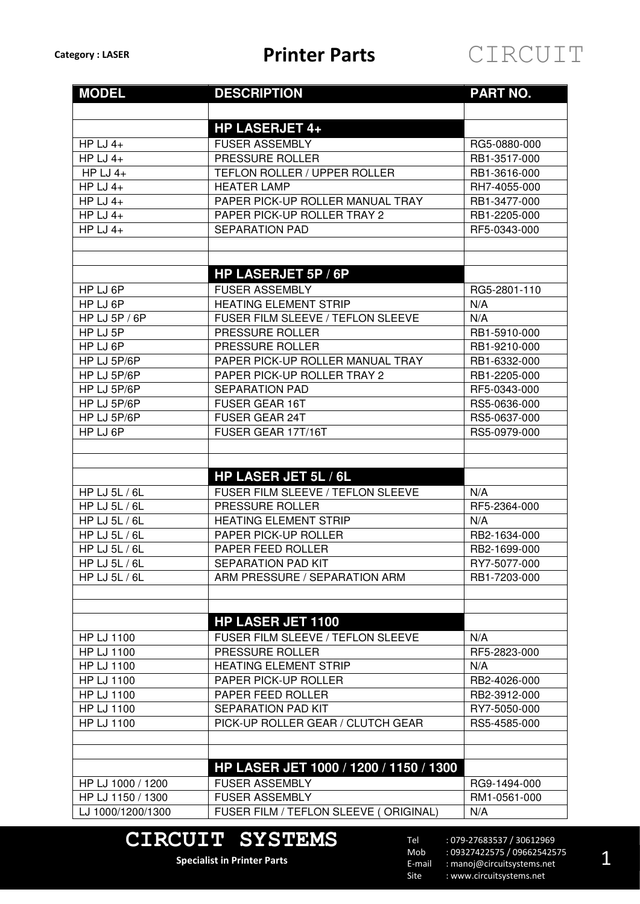| <b>MODEL</b>               | <b>DESCRIPTION</b>                     | <b>PART NO.</b> |
|----------------------------|----------------------------------------|-----------------|
|                            |                                        |                 |
|                            | <b>HP LASERJET 4+</b>                  |                 |
| HP LJ $4+$                 | <b>FUSER ASSEMBLY</b>                  | RG5-0880-000    |
| HP LJ $4+$                 | PRESSURE ROLLER                        | RB1-3517-000    |
| HP LJ $4+$                 | <b>TEFLON ROLLER / UPPER ROLLER</b>    | RB1-3616-000    |
| HP LJ $4+$                 | <b>HEATER LAMP</b>                     | RH7-4055-000    |
| HP LJ $4+$                 | PAPER PICK-UP ROLLER MANUAL TRAY       | RB1-3477-000    |
| HP LJ $4+$                 | PAPER PICK-UP ROLLER TRAY 2            | RB1-2205-000    |
| HP LJ $4+$                 | <b>SEPARATION PAD</b>                  | RF5-0343-000    |
|                            |                                        |                 |
|                            |                                        |                 |
|                            | HP LASERJET 5P / 6P                    |                 |
| HP LJ 6P                   | <b>FUSER ASSEMBLY</b>                  | RG5-2801-110    |
| HP LJ 6P                   | <b>HEATING ELEMENT STRIP</b>           | N/A             |
| $\overline{HP}$ LJ 5P / 6P | FUSER FILM SLEEVE / TEFLON SLEEVE      | N/A             |
| HP LJ 5P                   | PRESSURE ROLLER                        | RB1-5910-000    |
| HP LJ 6P                   | PRESSURE ROLLER                        | RB1-9210-000    |
| HP LJ 5P/6P                | PAPER PICK-UP ROLLER MANUAL TRAY       | RB1-6332-000    |
| HP LJ 5P/6P                | PAPER PICK-UP ROLLER TRAY 2            | RB1-2205-000    |
| HP LJ 5P/6P                | <b>SEPARATION PAD</b>                  | RF5-0343-000    |
| HP LJ 5P/6P                | <b>FUSER GEAR 16T</b>                  | RS5-0636-000    |
| HP LJ 5P/6P                | <b>FUSER GEAR 24T</b>                  | RS5-0637-000    |
| HP LJ 6P                   | FUSER GEAR 17T/16T                     | RS5-0979-000    |
|                            |                                        |                 |
|                            |                                        |                 |
|                            | <b>HP LASER JET 5L / 6L</b>            |                 |
| HP LJ 5L / 6L              | FUSER FILM SLEEVE / TEFLON SLEEVE      | N/A             |
| HP LJ 5L / 6L              | PRESSURE ROLLER                        | RF5-2364-000    |
| <b>HP LJ 5L / 6L</b>       | <b>HEATING ELEMENT STRIP</b>           | N/A             |
| HP LJ 5L / 6L              | PAPER PICK-UP ROLLER                   | RB2-1634-000    |
| HP LJ 5L / 6L              | PAPER FEED ROLLER                      | RB2-1699-000    |
| HP LJ 5L / 6L              | SEPARATION PAD KIT                     | RY7-5077-000    |
| HP LJ 5L / 6L              | ARM PRESSURE / SEPARATION ARM          | RB1-7203-000    |
|                            |                                        |                 |
|                            |                                        |                 |
|                            | <b>HP LASER JET 1100</b>               |                 |
| <b>HP LJ 1100</b>          | FUSER FILM SLEEVE / TEFLON SLEEVE      | N/A             |
| <b>HP LJ 1100</b>          | PRESSURE ROLLER                        | RF5-2823-000    |
| HP LJ 1100                 | <b>HEATING ELEMENT STRIP</b>           | N/A             |
| <b>HP LJ 1100</b>          | PAPER PICK-UP ROLLER                   | RB2-4026-000    |
| <b>HP LJ 1100</b>          | PAPER FEED ROLLER                      | RB2-3912-000    |
| <b>HP LJ 1100</b>          | <b>SEPARATION PAD KIT</b>              | RY7-5050-000    |
| <b>HP LJ 1100</b>          | PICK-UP ROLLER GEAR / CLUTCH GEAR      | RS5-4585-000    |
|                            |                                        |                 |
|                            |                                        |                 |
|                            | HP LASER JET 1000 / 1200 / 1150 / 1300 |                 |
| HP LJ 1000 / 1200          | <b>FUSER ASSEMBLY</b>                  | RG9-1494-000    |
| HP LJ 1150 / 1300          | <b>FUSER ASSEMBLY</b>                  | RM1-0561-000    |
| LJ 1000/1200/1300          | FUSER FILM / TEFLON SLEEVE (ORIGINAL)  | N/A             |
|                            |                                        |                 |

## **CIRCUIT SYSTEMS**

**Specialist in Printer Parts**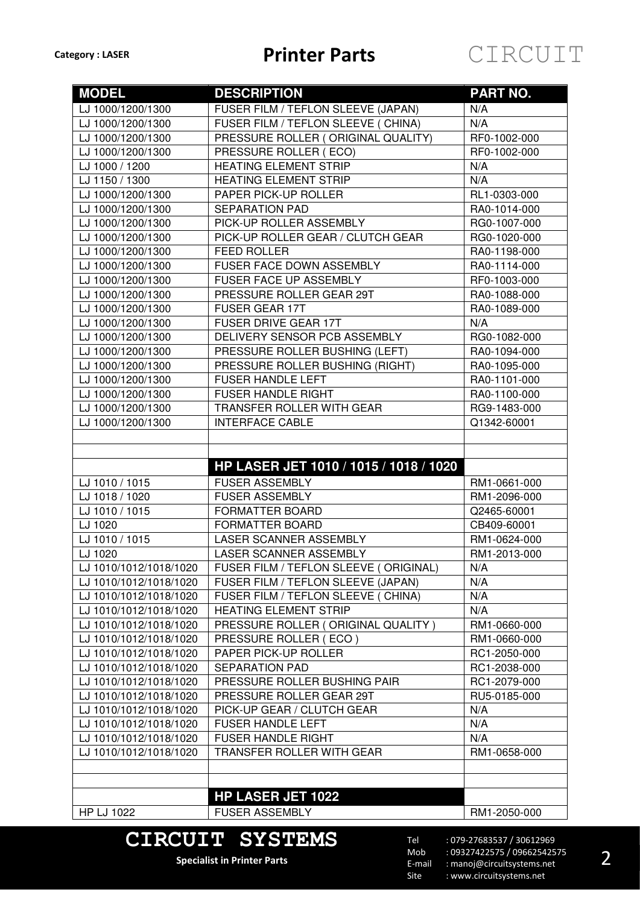| <b>MODEL</b>           | <b>DESCRIPTION</b>                                | PART NO.     |
|------------------------|---------------------------------------------------|--------------|
| LJ 1000/1200/1300      | FUSER FILM / TEFLON SLEEVE (JAPAN)                | N/A          |
| LJ 1000/1200/1300      | FUSER FILM / TEFLON SLEEVE ( CHINA)               | N/A          |
| LJ 1000/1200/1300      | PRESSURE ROLLER (ORIGINAL QUALITY)                | RF0-1002-000 |
| LJ 1000/1200/1300      | PRESSURE ROLLER (ECO)                             | RF0-1002-000 |
| LJ 1000 / 1200         | <b>HEATING ELEMENT STRIP</b>                      | N/A          |
| LJ 1150 / 1300         | <b>HEATING ELEMENT STRIP</b>                      | N/A          |
| LJ 1000/1200/1300      | PAPER PICK-UP ROLLER                              | RL1-0303-000 |
| LJ 1000/1200/1300      | <b>SEPARATION PAD</b>                             | RA0-1014-000 |
| LJ 1000/1200/1300      | PICK-UP ROLLER ASSEMBLY                           | RG0-1007-000 |
| LJ 1000/1200/1300      | PICK-UP ROLLER GEAR / CLUTCH GEAR                 | RG0-1020-000 |
| LJ 1000/1200/1300      | <b>FEED ROLLER</b>                                | RA0-1198-000 |
| LJ 1000/1200/1300      | FUSER FACE DOWN ASSEMBLY                          | RA0-1114-000 |
| LJ 1000/1200/1300      | FUSER FACE UP ASSEMBLY                            | RF0-1003-000 |
| LJ 1000/1200/1300      | PRESSURE ROLLER GEAR 29T                          | RA0-1088-000 |
| LJ 1000/1200/1300      | <b>FUSER GEAR 17T</b>                             | RA0-1089-000 |
| LJ 1000/1200/1300      | <b>FUSER DRIVE GEAR 17T</b>                       | N/A          |
| LJ 1000/1200/1300      | DELIVERY SENSOR PCB ASSEMBLY                      | RG0-1082-000 |
| LJ 1000/1200/1300      | PRESSURE ROLLER BUSHING (LEFT)                    | RA0-1094-000 |
| LJ 1000/1200/1300      | PRESSURE ROLLER BUSHING (RIGHT)                   | RA0-1095-000 |
| LJ 1000/1200/1300      | <b>FUSER HANDLE LEFT</b>                          | RA0-1101-000 |
| LJ 1000/1200/1300      | <b>FUSER HANDLE RIGHT</b>                         | RA0-1100-000 |
| LJ 1000/1200/1300      | TRANSFER ROLLER WITH GEAR                         | RG9-1483-000 |
| LJ 1000/1200/1300      | <b>INTERFACE CABLE</b>                            | Q1342-60001  |
|                        |                                                   |              |
|                        | HP LASER JET 1010 / 1015 / 1018 / 1020            |              |
| LJ 1010 / 1015         | <b>FUSER ASSEMBLY</b>                             | RM1-0661-000 |
| LJ 1018 / 1020         | <b>FUSER ASSEMBLY</b>                             | RM1-2096-000 |
| LJ 1010 / 1015         | FORMATTER BOARD                                   | Q2465-60001  |
| LJ 1020                | <b>FORMATTER BOARD</b>                            | CB409-60001  |
| LJ 1010 / 1015         | LASER SCANNER ASSEMBLY                            | RM1-0624-000 |
| LJ 1020                | LASER SCANNER ASSEMBLY                            | RM1-2013-000 |
| LJ 1010/1012/1018/1020 | FUSER FILM / TEFLON SLEEVE (ORIGINAL)             |              |
|                        |                                                   | N/A          |
| LJ 1010/1012/1018/1020 | FUSER FILM / TEFLON SLEEVE (JAPAN)                | N/A          |
| LJ 1010/1012/1018/1020 | FUSER FILM / TEFLON SLEEVE ( CHINA)               | N/A          |
| LJ 1010/1012/1018/1020 | <b>HEATING ELEMENT STRIP</b>                      | N/A          |
| LJ 1010/1012/1018/1020 | PRESSURE ROLLER (ORIGINAL QUALITY)                | RM1-0660-000 |
| LJ 1010/1012/1018/1020 | PRESSURE ROLLER (ECO)                             | RM1-0660-000 |
| LJ 1010/1012/1018/1020 | PAPER PICK-UP ROLLER                              | RC1-2050-000 |
| LJ 1010/1012/1018/1020 | <b>SEPARATION PAD</b>                             | RC1-2038-000 |
| LJ 1010/1012/1018/1020 | PRESSURE ROLLER BUSHING PAIR                      | RC1-2079-000 |
| LJ 1010/1012/1018/1020 | PRESSURE ROLLER GEAR 29T                          | RU5-0185-000 |
| LJ 1010/1012/1018/1020 | PICK-UP GEAR / CLUTCH GEAR                        | N/A          |
| LJ 1010/1012/1018/1020 | <b>FUSER HANDLE LEFT</b>                          | N/A          |
| LJ 1010/1012/1018/1020 | <b>FUSER HANDLE RIGHT</b>                         | N/A          |
| LJ 1010/1012/1018/1020 | <b>TRANSFER ROLLER WITH GEAR</b>                  | RM1-0658-000 |
|                        |                                                   |              |
|                        |                                                   |              |
| HP LJ 1022             | <b>HP LASER JET 1022</b><br><b>FUSER ASSEMBLY</b> | RM1-2050-000 |

### **CIRCUIT SYSTEMS Specialist in Printer Parts**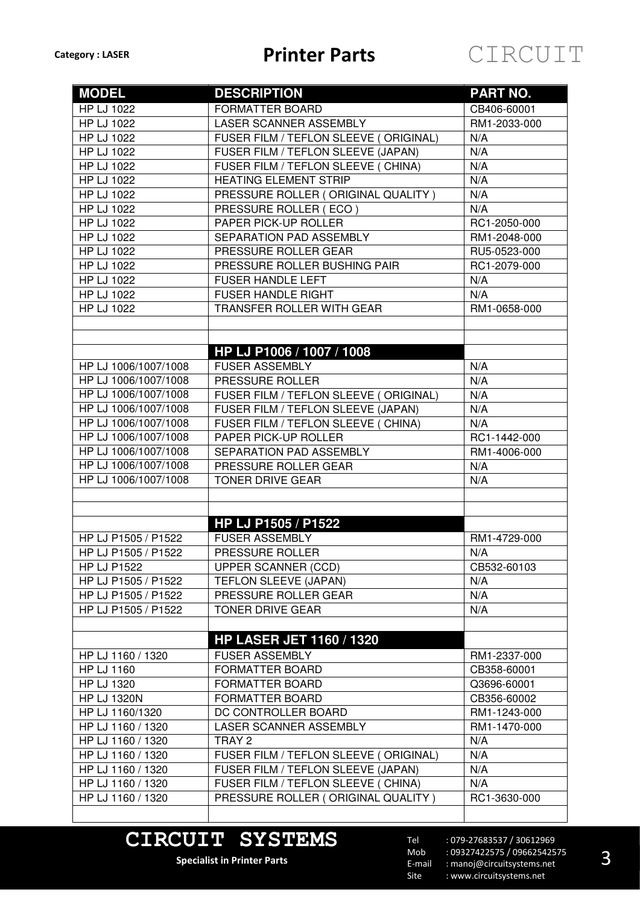| <b>MODEL</b>         | <b>DESCRIPTION</b>                    | <b>PART NO.</b> |
|----------------------|---------------------------------------|-----------------|
| HP LJ 1022           | <b>FORMATTER BOARD</b>                | CB406-60001     |
| HP LJ 1022           | <b>LASER SCANNER ASSEMBLY</b>         | RM1-2033-000    |
| <b>HP LJ 1022</b>    | FUSER FILM / TEFLON SLEEVE (ORIGINAL) | N/A             |
| <b>HP LJ 1022</b>    | FUSER FILM / TEFLON SLEEVE (JAPAN)    | N/A             |
| HP LJ 1022           | FUSER FILM / TEFLON SLEEVE ( CHINA)   | N/A             |
| HP LJ 1022           | <b>HEATING ELEMENT STRIP</b>          | N/A             |
| HP LJ 1022           | PRESSURE ROLLER (ORIGINAL QUALITY)    | N/A             |
| HP LJ 1022           | PRESSURE ROLLER (ECO)                 | N/A             |
| HP LJ 1022           | PAPER PICK-UP ROLLER                  | RC1-2050-000    |
| HP LJ 1022           | SEPARATION PAD ASSEMBLY               | RM1-2048-000    |
| HP LJ 1022           | PRESSURE ROLLER GEAR                  | RU5-0523-000    |
| <b>HP LJ 1022</b>    | PRESSURE ROLLER BUSHING PAIR          | RC1-2079-000    |
| <b>HP LJ 1022</b>    | <b>FUSER HANDLE LEFT</b>              | N/A             |
| HP LJ 1022           | <b>FUSER HANDLE RIGHT</b>             | N/A             |
| <b>HP LJ 1022</b>    | TRANSFER ROLLER WITH GEAR             | RM1-0658-000    |
|                      |                                       |                 |
|                      |                                       |                 |
|                      | HP LJ P1006 / 1007 / 1008             |                 |
| HP LJ 1006/1007/1008 | <b>FUSER ASSEMBLY</b>                 | N/A             |
| HP LJ 1006/1007/1008 | PRESSURE ROLLER                       | N/A             |
| HP LJ 1006/1007/1008 | FUSER FILM / TEFLON SLEEVE (ORIGINAL) | N/A             |
| HP LJ 1006/1007/1008 | FUSER FILM / TEFLON SLEEVE (JAPAN)    | N/A             |
| HP LJ 1006/1007/1008 | FUSER FILM / TEFLON SLEEVE ( CHINA)   | N/A             |
| HP LJ 1006/1007/1008 | PAPER PICK-UP ROLLER                  | RC1-1442-000    |
| HP LJ 1006/1007/1008 | SEPARATION PAD ASSEMBLY               | RM1-4006-000    |
| HP LJ 1006/1007/1008 | PRESSURE ROLLER GEAR                  | N/A             |
| HP LJ 1006/1007/1008 | <b>TONER DRIVE GEAR</b>               | N/A             |
|                      |                                       |                 |
|                      |                                       |                 |
|                      | HP LJ P1505 / P1522                   |                 |
| HP LJ P1505 / P1522  | <b>FUSER ASSEMBLY</b>                 | RM1-4729-000    |
| HP LJ P1505 / P1522  | PRESSURE ROLLER                       | N/A             |
| <b>HP LJ P1522</b>   | <b>UPPER SCANNER (CCD)</b>            | CB532-60103     |
| HP LJ P1505 / P1522  | TEFLON SLEEVE (JAPAN)                 | N/A             |
| HP LJ P1505 / P1522  | PRESSURE ROLLER GEAR                  | N/A             |
| HP LJ P1505 / P1522  | <b>TONER DRIVE GEAR</b>               | N/A             |
|                      |                                       |                 |
|                      | <b>HP LASER JET 1160 / 1320</b>       |                 |
| HP LJ 1160 / 1320    | <b>FUSER ASSEMBLY</b>                 | RM1-2337-000    |
| HP LJ 1160           | FORMATTER BOARD                       | CB358-60001     |
| <b>HP LJ 1320</b>    | FORMATTER BOARD                       | Q3696-60001     |
| <b>HP LJ 1320N</b>   | <b>FORMATTER BOARD</b>                | CB356-60002     |
| HP LJ 1160/1320      | DC CONTROLLER BOARD                   | RM1-1243-000    |
| HP LJ 1160 / 1320    | LASER SCANNER ASSEMBLY                | RM1-1470-000    |
| HP LJ 1160 / 1320    | TRAY 2                                | N/A             |
| HP LJ 1160 / 1320    | FUSER FILM / TEFLON SLEEVE (ORIGINAL) | N/A             |
| HP LJ 1160 / 1320    | FUSER FILM / TEFLON SLEEVE (JAPAN)    | N/A             |
| HP LJ 1160 / 1320    | FUSER FILM / TEFLON SLEEVE ( CHINA)   | N/A             |
| HP LJ 1160 / 1320    | PRESSURE ROLLER (ORIGINAL QUALITY)    | RC1-3630-000    |
|                      |                                       |                 |

# **CIRCUIT SYSTEMS**

**Specialist in Printer Parts**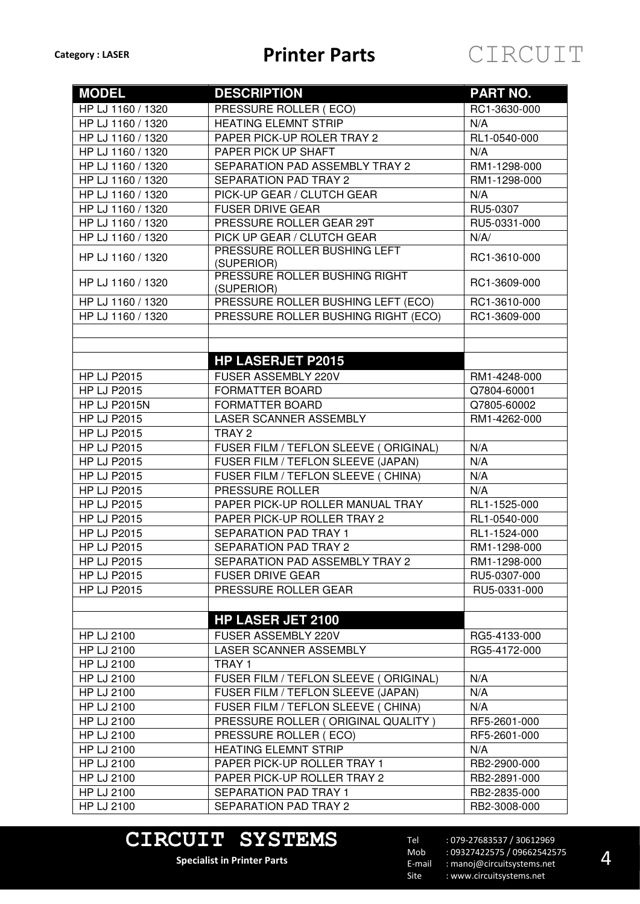| <b>MODEL</b>        | <b>DESCRIPTION</b>                          | <b>PART NO.</b> |
|---------------------|---------------------------------------------|-----------------|
| HP LJ 1160 / 1320   | PRESSURE ROLLER (ECO)                       | RC1-3630-000    |
| HP LJ 1160 / 1320   | <b>HEATING ELEMNT STRIP</b>                 | N/A             |
| HP LJ 1160 / 1320   | PAPER PICK-UP ROLER TRAY 2                  | RL1-0540-000    |
| HP LJ 1160 / 1320   | PAPER PICK UP SHAFT                         | N/A             |
| HP LJ 1160 / 1320   | SEPARATION PAD ASSEMBLY TRAY 2              | RM1-1298-000    |
| HP LJ 1160 / 1320   | SEPARATION PAD TRAY 2                       | RM1-1298-000    |
| HP LJ 1160 / 1320   | PICK-UP GEAR / CLUTCH GEAR                  | N/A             |
| HP LJ 1160 / 1320   | <b>FUSER DRIVE GEAR</b>                     | RU5-0307        |
| HP LJ 1160 / 1320   | PRESSURE ROLLER GEAR 29T                    | RU5-0331-000    |
| HP LJ 1160 / 1320   | PICK UP GEAR / CLUTCH GEAR                  | N/A/            |
| HP LJ 1160 / 1320   | PRESSURE ROLLER BUSHING LEFT<br>(SUPERIOR)  | RC1-3610-000    |
| HP LJ 1160 / 1320   | PRESSURE ROLLER BUSHING RIGHT<br>(SUPERIOR) | RC1-3609-000    |
| HP LJ 1160 / 1320   | PRESSURE ROLLER BUSHING LEFT (ECO)          | RC1-3610-000    |
| HP LJ 1160 / 1320   | PRESSURE ROLLER BUSHING RIGHT (ECO)         | RC1-3609-000    |
|                     |                                             |                 |
|                     |                                             |                 |
|                     | <b>HP LASERJET P2015</b>                    |                 |
| <b>HP LJ P2015</b>  | FUSER ASSEMBLY 220V                         | RM1-4248-000    |
| <b>HP LJ P2015</b>  | FORMATTER BOARD                             | Q7804-60001     |
| <b>HP LJ P2015N</b> | FORMATTER BOARD                             | Q7805-60002     |
| <b>HP LJ P2015</b>  | LASER SCANNER ASSEMBLY                      | RM1-4262-000    |
| <b>HP LJ P2015</b>  | TRAY <sub>2</sub>                           |                 |
| <b>HP LJ P2015</b>  | FUSER FILM / TEFLON SLEEVE (ORIGINAL)       | N/A             |
| <b>HP LJ P2015</b>  | FUSER FILM / TEFLON SLEEVE (JAPAN)          | N/A             |
| <b>HP LJ P2015</b>  | FUSER FILM / TEFLON SLEEVE ( CHINA)         | N/A             |
| <b>HP LJ P2015</b>  | PRESSURE ROLLER                             | N/A             |
| <b>HP LJ P2015</b>  | PAPER PICK-UP ROLLER MANUAL TRAY            | RL1-1525-000    |
| <b>HP LJ P2015</b>  | PAPER PICK-UP ROLLER TRAY 2                 | RL1-0540-000    |
| <b>HP LJ P2015</b>  | <b>SEPARATION PAD TRAY 1</b>                | RL1-1524-000    |
| <b>HP LJ P2015</b>  | SEPARATION PAD TRAY 2                       | RM1-1298-000    |
| <b>HP LJ P2015</b>  | SEPARATION PAD ASSEMBLY TRAY 2              | RM1-1298-000    |
| <b>HP LJ P2015</b>  | <b>FUSER DRIVE GEAR</b>                     | RU5-0307-000    |
| <b>HP LJ P2015</b>  | PRESSURE ROLLER GEAR                        | RU5-0331-000    |
|                     |                                             |                 |
|                     | <b>HP LASER JET 2100</b>                    |                 |
| <b>HP LJ 2100</b>   | FUSER ASSEMBLY 220V                         | RG5-4133-000    |
| <b>HP LJ 2100</b>   | LASER SCANNER ASSEMBLY                      | RG5-4172-000    |
| HP LJ 2100          | TRAY 1                                      |                 |
| HP LJ 2100          | FUSER FILM / TEFLON SLEEVE (ORIGINAL)       | N/A             |
| HP LJ 2100          | FUSER FILM / TEFLON SLEEVE (JAPAN)          | N/A             |
| <b>HP LJ 2100</b>   | FUSER FILM / TEFLON SLEEVE ( CHINA)         | N/A             |
| HP LJ 2100          | PRESSURE ROLLER (ORIGINAL QUALITY)          | RF5-2601-000    |
| HP LJ 2100          | PRESSURE ROLLER (ECO)                       | RF5-2601-000    |
| HP LJ 2100          | <b>HEATING ELEMNT STRIP</b>                 | N/A             |
| <b>HP LJ 2100</b>   | PAPER PICK-UP ROLLER TRAY 1                 | RB2-2900-000    |
| HP LJ 2100          | PAPER PICK-UP ROLLER TRAY 2                 | RB2-2891-000    |
| <b>HP LJ 2100</b>   | SEPARATION PAD TRAY 1                       | RB2-2835-000    |
| <b>HP LJ 2100</b>   | SEPARATION PAD TRAY 2                       | RB2-3008-000    |

# **CIRCUIT SYSTEMS**

**Specialist in Printer Parts**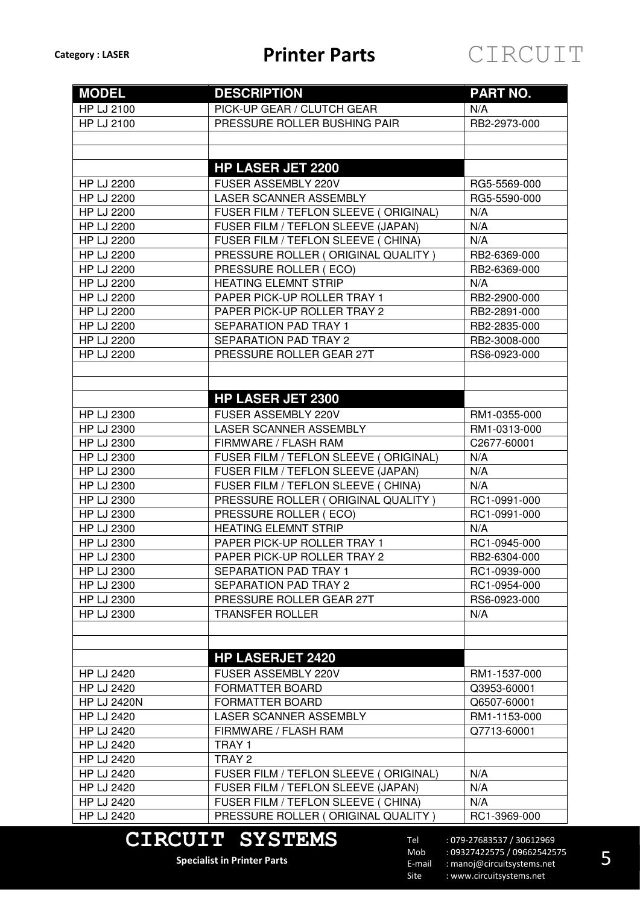

| <b>MODEL</b>       | <b>DESCRIPTION</b>                    | <b>PART NO.</b> |
|--------------------|---------------------------------------|-----------------|
| HP LJ 2100         | PICK-UP GEAR / CLUTCH GEAR            | N/A             |
| HP LJ 2100         | PRESSURE ROLLER BUSHING PAIR          | RB2-2973-000    |
|                    |                                       |                 |
|                    |                                       |                 |
|                    | <b>HP LASER JET 2200</b>              |                 |
| <b>HP LJ 2200</b>  | FUSER ASSEMBLY 220V                   | RG5-5569-000    |
| <b>HP LJ 2200</b>  | LASER SCANNER ASSEMBLY                | RG5-5590-000    |
| <b>HP LJ 2200</b>  | FUSER FILM / TEFLON SLEEVE (ORIGINAL) | N/A             |
| <b>HP LJ 2200</b>  | FUSER FILM / TEFLON SLEEVE (JAPAN)    | N/A             |
| <b>HP LJ 2200</b>  | FUSER FILM / TEFLON SLEEVE ( CHINA)   | N/A             |
| <b>HP LJ 2200</b>  | PRESSURE ROLLER (ORIGINAL QUALITY)    | RB2-6369-000    |
| <b>HP LJ 2200</b>  | PRESSURE ROLLER (ECO)                 | RB2-6369-000    |
| <b>HP LJ 2200</b>  | <b>HEATING ELEMNT STRIP</b>           | N/A             |
| <b>HP LJ 2200</b>  | PAPER PICK-UP ROLLER TRAY 1           | RB2-2900-000    |
| <b>HP LJ 2200</b>  | PAPER PICK-UP ROLLER TRAY 2           | RB2-2891-000    |
| <b>HP LJ 2200</b>  | <b>SEPARATION PAD TRAY 1</b>          | RB2-2835-000    |
| <b>HP LJ 2200</b>  | <b>SEPARATION PAD TRAY 2</b>          | RB2-3008-000    |
| <b>HP LJ 2200</b>  | PRESSURE ROLLER GEAR 27T              | RS6-0923-000    |
|                    |                                       |                 |
|                    |                                       |                 |
|                    | <b>HP LASER JET 2300</b>              |                 |
| HP LJ 2300         | FUSER ASSEMBLY 220V                   | RM1-0355-000    |
| HP LJ 2300         | LASER SCANNER ASSEMBLY                | RM1-0313-000    |
| HP LJ 2300         | FIRMWARE / FLASH RAM                  | C2677-60001     |
| HP LJ 2300         | FUSER FILM / TEFLON SLEEVE (ORIGINAL) | N/A             |
| HP LJ 2300         | FUSER FILM / TEFLON SLEEVE (JAPAN)    | N/A             |
| HP LJ 2300         | FUSER FILM / TEFLON SLEEVE ( CHINA)   | N/A             |
| HP LJ 2300         | PRESSURE ROLLER (ORIGINAL QUALITY)    | RC1-0991-000    |
| HP LJ 2300         | PRESSURE ROLLER (ECO)                 | RC1-0991-000    |
| <b>HP LJ 2300</b>  | <b>HEATING ELEMNT STRIP</b>           | N/A             |
| HP LJ 2300         | PAPER PICK-UP ROLLER TRAY 1           | RC1-0945-000    |
| HP LJ 2300         | PAPER PICK-UP ROLLER TRAY 2           | RB2-6304-000    |
| <b>HP LJ 2300</b>  | SEPARATION PAD TRAY 1                 | RC1-0939-000    |
| HP LJ 2300         | <b>SEPARATION PAD TRAY 2</b>          | RC1-0954-000    |
| HP LJ 2300         | PRESSURE ROLLER GEAR 27T              | RS6-0923-000    |
| <b>HP LJ 2300</b>  | <b>TRANSFER ROLLER</b>                | N/A             |
|                    |                                       |                 |
|                    |                                       |                 |
|                    | <b>HP LASERJET 2420</b>               |                 |
| <b>HP LJ 2420</b>  | FUSER ASSEMBLY 220V                   | RM1-1537-000    |
| <b>HP LJ 2420</b>  | <b>FORMATTER BOARD</b>                | Q3953-60001     |
| <b>HP LJ 2420N</b> | FORMATTER BOARD                       | Q6507-60001     |
| <b>HP LJ 2420</b>  | LASER SCANNER ASSEMBLY                | RM1-1153-000    |
| <b>HP LJ 2420</b>  | FIRMWARE / FLASH RAM                  | Q7713-60001     |
| HP LJ 2420         | TRAY 1                                |                 |
| HP LJ 2420         | TRAY 2                                |                 |
| HP LJ 2420         | FUSER FILM / TEFLON SLEEVE (ORIGINAL) | N/A             |
| <b>HP LJ 2420</b>  | FUSER FILM / TEFLON SLEEVE (JAPAN)    | N/A             |
| HP LJ 2420         | FUSER FILM / TEFLON SLEEVE ( CHINA)   | N/A             |
| HP LJ 2420         | PRESSURE ROLLER (ORIGINAL QUALITY)    | RC1-3969-000    |

### **CIRCUIT SYSTEMS**

**Specialist in Printer Parts**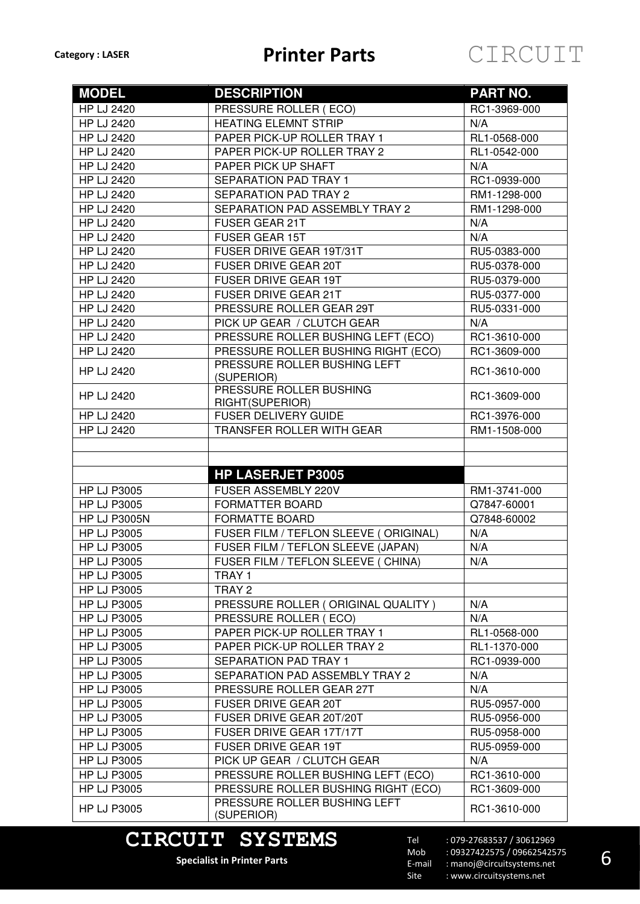| <b>MODEL</b>        | <b>DESCRIPTION</b>                             | <b>PART NO.</b> |
|---------------------|------------------------------------------------|-----------------|
| <b>HP LJ 2420</b>   | PRESSURE ROLLER (ECO)                          | RC1-3969-000    |
| <b>HP LJ 2420</b>   | <b>HEATING ELEMNT STRIP</b>                    | N/A             |
| <b>HP LJ 2420</b>   | PAPER PICK-UP ROLLER TRAY 1                    | RL1-0568-000    |
| <b>HP LJ 2420</b>   | PAPER PICK-UP ROLLER TRAY 2                    | RL1-0542-000    |
| <b>HP LJ 2420</b>   | PAPER PICK UP SHAFT                            | N/A             |
| <b>HP LJ 2420</b>   | <b>SEPARATION PAD TRAY 1</b>                   | RC1-0939-000    |
| <b>HP LJ 2420</b>   | <b>SEPARATION PAD TRAY 2</b>                   | RM1-1298-000    |
| <b>HP LJ 2420</b>   | SEPARATION PAD ASSEMBLY TRAY 2                 | RM1-1298-000    |
| <b>HP LJ 2420</b>   | <b>FUSER GEAR 21T</b>                          | N/A             |
| <b>HP LJ 2420</b>   | <b>FUSER GEAR 15T</b>                          | N/A             |
| <b>HP LJ 2420</b>   | FUSER DRIVE GEAR 19T/31T                       | RU5-0383-000    |
| <b>HP LJ 2420</b>   | FUSER DRIVE GEAR 20T                           | RU5-0378-000    |
| <b>HP LJ 2420</b>   | FUSER DRIVE GEAR 19T                           | RU5-0379-000    |
| <b>HP LJ 2420</b>   | FUSER DRIVE GEAR 21T                           | RU5-0377-000    |
| <b>HP LJ 2420</b>   | PRESSURE ROLLER GEAR 29T                       | RU5-0331-000    |
| <b>HP LJ 2420</b>   | PICK UP GEAR / CLUTCH GEAR                     | N/A             |
| <b>HP LJ 2420</b>   | PRESSURE ROLLER BUSHING LEFT (ECO)             | RC1-3610-000    |
| <b>HP LJ 2420</b>   | PRESSURE ROLLER BUSHING RIGHT (ECO)            | RC1-3609-000    |
| <b>HP LJ 2420</b>   | PRESSURE ROLLER BUSHING LEFT                   | RC1-3610-000    |
|                     | (SUPERIOR)                                     |                 |
| <b>HP LJ 2420</b>   | PRESSURE ROLLER BUSHING                        | RC1-3609-000    |
| <b>HP LJ 2420</b>   | RIGHT(SUPERIOR)<br><b>FUSER DELIVERY GUIDE</b> | RC1-3976-000    |
| <b>HP LJ 2420</b>   | TRANSFER ROLLER WITH GEAR                      | RM1-1508-000    |
|                     |                                                |                 |
|                     |                                                |                 |
|                     | <b>HP LASERJET P3005</b>                       |                 |
| <b>HP LJ P3005</b>  | FUSER ASSEMBLY 220V                            | RM1-3741-000    |
| <b>HP LJ P3005</b>  | <b>FORMATTER BOARD</b>                         | Q7847-60001     |
| <b>HP LJ P3005N</b> | <b>FORMATTE BOARD</b>                          | Q7848-60002     |
| <b>HP LJ P3005</b>  | FUSER FILM / TEFLON SLEEVE (ORIGINAL)          | N/A             |
| <b>HP LJ P3005</b>  | FUSER FILM / TEFLON SLEEVE (JAPAN)             | N/A             |
| <b>HP LJ P3005</b>  | FUSER FILM / TEFLON SLEEVE ( CHINA)            | N/A             |
| <b>HP LJ P3005</b>  | TRAY 1                                         |                 |
| <b>HP LJ P3005</b>  | TRAY 2                                         |                 |
| <b>HP LJ P3005</b>  | PRESSURE ROLLER (ORIGINAL QUALITY)             | N/A             |
| <b>HP LJ P3005</b>  | PRESSURE ROLLER (ECO)                          | N/A             |
| <b>HP LJ P3005</b>  | PAPER PICK-UP ROLLER TRAY 1                    | RL1-0568-000    |
| <b>HP LJ P3005</b>  | PAPER PICK-UP ROLLER TRAY 2                    | RL1-1370-000    |
| <b>HP LJ P3005</b>  | SEPARATION PAD TRAY 1                          | RC1-0939-000    |
| <b>HP LJ P3005</b>  | SEPARATION PAD ASSEMBLY TRAY 2                 | N/A             |
| <b>HP LJ P3005</b>  | PRESSURE ROLLER GEAR 27T                       | N/A             |
| <b>HP LJ P3005</b>  | <b>FUSER DRIVE GEAR 20T</b>                    | RU5-0957-000    |
| <b>HP LJ P3005</b>  | FUSER DRIVE GEAR 20T/20T                       | RU5-0956-000    |
| <b>HP LJ P3005</b>  | FUSER DRIVE GEAR 17T/17T                       | RU5-0958-000    |
| <b>HP LJ P3005</b>  | <b>FUSER DRIVE GEAR 19T</b>                    | RU5-0959-000    |
| <b>HP LJ P3005</b>  | PICK UP GEAR / CLUTCH GEAR                     | N/A             |
| <b>HP LJ P3005</b>  | PRESSURE ROLLER BUSHING LEFT (ECO)             | RC1-3610-000    |
| <b>HP LJ P3005</b>  | PRESSURE ROLLER BUSHING RIGHT (ECO)            | RC1-3609-000    |
| <b>HP LJ P3005</b>  | PRESSURE ROLLER BUSHING LEFT                   | RC1-3610-000    |
|                     | (SUPERIOR)                                     |                 |

### **CIRCUIT SYSTEMS**

**Specialist in Printer Parts**

Tel Mob E-mail Site : 079-27683537 / 30612969 : 09327422575 / 09662542575 : manoj@circuitsystems.net : www.circuitsystems.net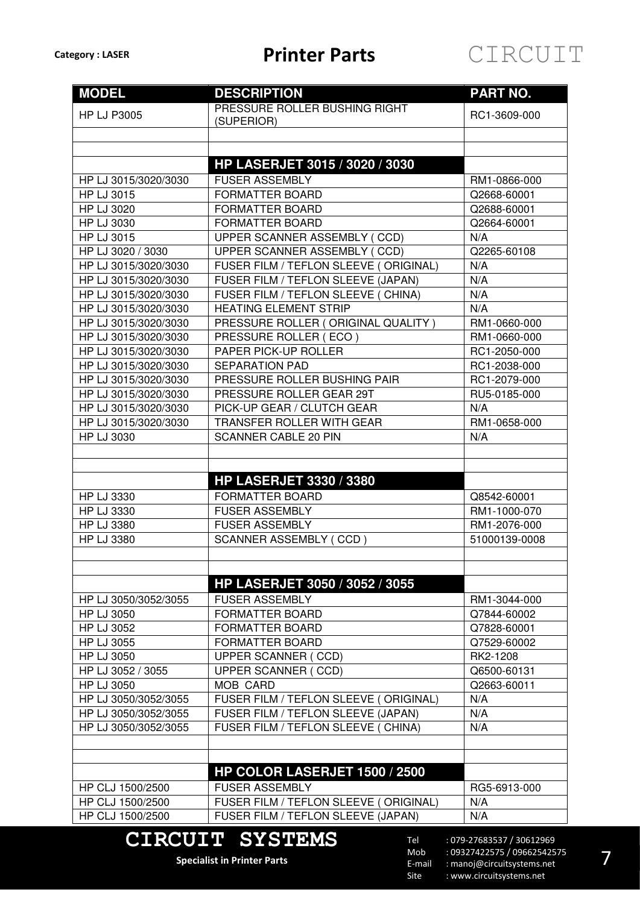

| <b>MODEL</b>         | <b>DESCRIPTION</b>                          | <b>PART NO.</b> |
|----------------------|---------------------------------------------|-----------------|
| <b>HP LJ P3005</b>   | PRESSURE ROLLER BUSHING RIGHT<br>(SUPERIOR) | RC1-3609-000    |
|                      |                                             |                 |
|                      |                                             |                 |
|                      | <b>HP LASERJET 3015 / 3020 / 3030</b>       |                 |
| HP LJ 3015/3020/3030 | <b>FUSER ASSEMBLY</b>                       | RM1-0866-000    |
| HP LJ 3015           | <b>FORMATTER BOARD</b>                      | Q2668-60001     |
| HP LJ 3020           | <b>FORMATTER BOARD</b>                      | Q2688-60001     |
| HP LJ 3030           | <b>FORMATTER BOARD</b>                      | Q2664-60001     |
| HP LJ 3015           | UPPER SCANNER ASSEMBLY (CCD)                | N/A             |
| HP LJ 3020 / 3030    | UPPER SCANNER ASSEMBLY (CCD)                | Q2265-60108     |
| HP LJ 3015/3020/3030 | FUSER FILM / TEFLON SLEEVE (ORIGINAL)       | N/A             |
| HP LJ 3015/3020/3030 | FUSER FILM / TEFLON SLEEVE (JAPAN)          | N/A             |
| HP LJ 3015/3020/3030 | FUSER FILM / TEFLON SLEEVE ( CHINA)         | N/A             |
| HP LJ 3015/3020/3030 | <b>HEATING ELEMENT STRIP</b>                | N/A             |
| HP LJ 3015/3020/3030 | PRESSURE ROLLER (ORIGINAL QUALITY)          | RM1-0660-000    |
| HP LJ 3015/3020/3030 | PRESSURE ROLLER (ECO)                       | RM1-0660-000    |
| HP LJ 3015/3020/3030 | PAPER PICK-UP ROLLER                        | RC1-2050-000    |
| HP LJ 3015/3020/3030 | <b>SEPARATION PAD</b>                       | RC1-2038-000    |
| HP LJ 3015/3020/3030 | PRESSURE ROLLER BUSHING PAIR                | RC1-2079-000    |
| HP LJ 3015/3020/3030 | PRESSURE ROLLER GEAR 29T                    | RU5-0185-000    |
| HP LJ 3015/3020/3030 | PICK-UP GEAR / CLUTCH GEAR                  | N/A             |
| HP LJ 3015/3020/3030 | TRANSFER ROLLER WITH GEAR                   | RM1-0658-000    |
| <b>HP LJ 3030</b>    | <b>SCANNER CABLE 20 PIN</b>                 | N/A             |
|                      |                                             |                 |
|                      | <b>HP LASERJET 3330 / 3380</b>              |                 |
| HP LJ 3330           | <b>FORMATTER BOARD</b>                      | Q8542-60001     |
| HP LJ 3330           | <b>FUSER ASSEMBLY</b>                       | RM1-1000-070    |
| HP LJ 3380           | <b>FUSER ASSEMBLY</b>                       | RM1-2076-000    |
| <b>HP LJ 3380</b>    | <b>SCANNER ASSEMBLY (CCD)</b>               | 51000139-0008   |
|                      |                                             |                 |
|                      |                                             |                 |
|                      | HP LASERJET 3050 / 3052 / 3055              |                 |
| HP LJ 3050/3052/3055 | <b>FUSER ASSEMBLY</b>                       | RM1-3044-000    |
| HP LJ 3050           | <b>FORMATTER BOARD</b>                      | Q7844-60002     |
| HP LJ 3052           | FORMATTER BOARD                             | Q7828-60001     |
| HP LJ 3055           | FORMATTER BOARD                             | Q7529-60002     |
| HP LJ 3050           | UPPER SCANNER (CCD)                         | RK2-1208        |
| HP LJ 3052 / 3055    | <b>UPPER SCANNER (CCD)</b>                  | Q6500-60131     |
| HP LJ 3050           | MOB CARD                                    | Q2663-60011     |
| HP LJ 3050/3052/3055 | FUSER FILM / TEFLON SLEEVE (ORIGINAL)       | N/A             |
| HP LJ 3050/3052/3055 | FUSER FILM / TEFLON SLEEVE (JAPAN)          | N/A             |
| HP LJ 3050/3052/3055 | FUSER FILM / TEFLON SLEEVE ( CHINA)         | N/A             |
|                      |                                             |                 |
|                      |                                             |                 |
|                      | HP COLOR LASERJET 1500 / 2500               |                 |
| HP CLJ 1500/2500     | <b>FUSER ASSEMBLY</b>                       | RG5-6913-000    |
| HP CLJ 1500/2500     | FUSER FILM / TEFLON SLEEVE (ORIGINAL)       | N/A             |
| HP CLJ 1500/2500     | FUSER FILM / TEFLON SLEEVE (JAPAN)          | N/A             |
|                      |                                             |                 |

### **CIRCUIT SYSTEMS**

**Specialist in Printer Parts**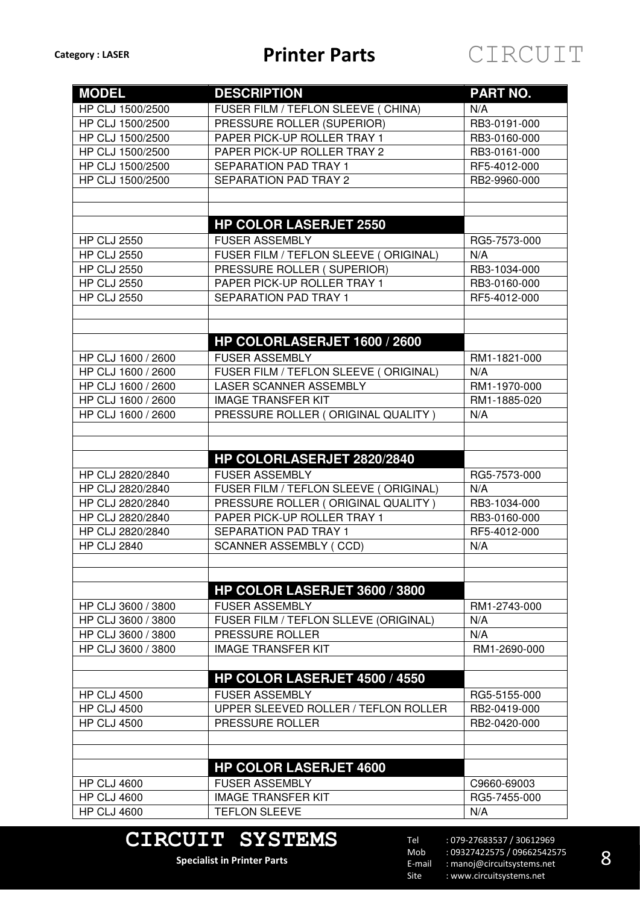| <b>MODEL</b>       | <b>DESCRIPTION</b>                    | <b>PART NO.</b> |
|--------------------|---------------------------------------|-----------------|
| HP CLJ 1500/2500   | FUSER FILM / TEFLON SLEEVE ( CHINA)   | N/A             |
| HP CLJ 1500/2500   | PRESSURE ROLLER (SUPERIOR)            | RB3-0191-000    |
| HP CLJ 1500/2500   | PAPER PICK-UP ROLLER TRAY 1           | RB3-0160-000    |
| HP CLJ 1500/2500   | PAPER PICK-UP ROLLER TRAY 2           | RB3-0161-000    |
| HP CLJ 1500/2500   | SEPARATION PAD TRAY 1                 | RF5-4012-000    |
| HP CLJ 1500/2500   | <b>SEPARATION PAD TRAY 2</b>          | RB2-9960-000    |
|                    |                                       |                 |
|                    |                                       |                 |
|                    | <b>HP COLOR LASERJET 2550</b>         |                 |
| <b>HP CLJ 2550</b> | <b>FUSER ASSEMBLY</b>                 | RG5-7573-000    |
| <b>HP CLJ 2550</b> | FUSER FILM / TEFLON SLEEVE (ORIGINAL) | N/A             |
| <b>HP CLJ 2550</b> | PRESSURE ROLLER (SUPERIOR)            | RB3-1034-000    |
| <b>HP CLJ 2550</b> | PAPER PICK-UP ROLLER TRAY 1           | RB3-0160-000    |
| <b>HP CLJ 2550</b> | SEPARATION PAD TRAY 1                 | RF5-4012-000    |
|                    |                                       |                 |
|                    |                                       |                 |
|                    | HP COLORLASERJET 1600 / 2600          |                 |
| HP CLJ 1600 / 2600 | <b>FUSER ASSEMBLY</b>                 | RM1-1821-000    |
| HP CLJ 1600 / 2600 | FUSER FILM / TEFLON SLEEVE (ORIGINAL) | N/A             |
| HP CLJ 1600 / 2600 | LASER SCANNER ASSEMBLY                | RM1-1970-000    |
| HP CLJ 1600 / 2600 | <b>IMAGE TRANSFER KIT</b>             | RM1-1885-020    |
| HP CLJ 1600 / 2600 | PRESSURE ROLLER (ORIGINAL QUALITY)    | N/A             |
|                    |                                       |                 |
|                    |                                       |                 |
|                    | HP COLORLASERJET 2820/2840            |                 |
| HP CLJ 2820/2840   | <b>FUSER ASSEMBLY</b>                 | RG5-7573-000    |
| HP CLJ 2820/2840   | FUSER FILM / TEFLON SLEEVE (ORIGINAL) | N/A             |
| HP CLJ 2820/2840   | PRESSURE ROLLER (ORIGINAL QUALITY)    | RB3-1034-000    |
| HP CLJ 2820/2840   | PAPER PICK-UP ROLLER TRAY 1           | RB3-0160-000    |
| HP CLJ 2820/2840   | <b>SEPARATION PAD TRAY 1</b>          | RF5-4012-000    |
| <b>HP CLJ 2840</b> | <b>SCANNER ASSEMBLY (CCD)</b>         | N/A             |
|                    |                                       |                 |
|                    |                                       |                 |
|                    | HP COLOR LASERJET 3600 / 3800         |                 |
| HP CLJ 3600 / 3800 | <b>FUSER ASSEMBLY</b>                 | RM1-2743-000    |
| HP CLJ 3600 / 3800 | FUSER FILM / TEFLON SLLEVE (ORIGINAL) | N/A             |
| HP CLJ 3600 / 3800 | PRESSURE ROLLER                       | N/A             |
| HP CLJ 3600 / 3800 | <b>IMAGE TRANSFER KIT</b>             | RM1-2690-000    |
|                    |                                       |                 |
|                    | HP COLOR LASERJET 4500 / 4550         |                 |
| <b>HP CLJ 4500</b> | <b>FUSER ASSEMBLY</b>                 | RG5-5155-000    |
| <b>HP CLJ 4500</b> | UPPER SLEEVED ROLLER / TEFLON ROLLER  | RB2-0419-000    |
| <b>HP CLJ 4500</b> | PRESSURE ROLLER                       | RB2-0420-000    |
|                    |                                       |                 |
|                    |                                       |                 |
|                    | <b>HP COLOR LASERJET 4600</b>         |                 |
| <b>HP CLJ 4600</b> | <b>FUSER ASSEMBLY</b>                 | C9660-69003     |
| <b>HP CLJ 4600</b> | <b>IMAGE TRANSFER KIT</b>             | RG5-7455-000    |
| <b>HP CLJ 4600</b> | <b>TEFLON SLEEVE</b>                  | N/A             |

## **CIRCUIT SYSTEMS**

**Specialist in Printer Parts**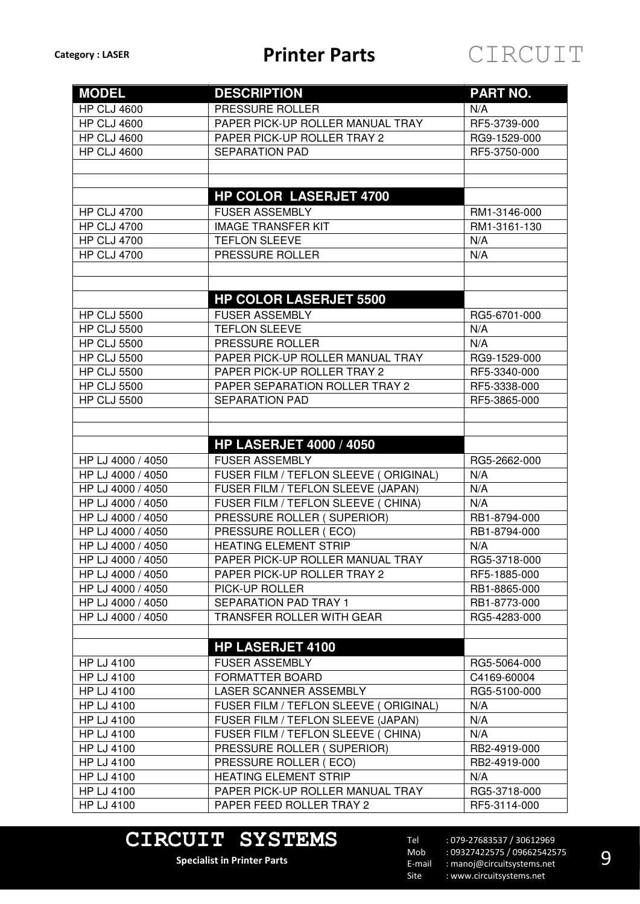| <b>MODEL</b>       | <b>DESCRIPTION</b>                    | <b>PART NO.</b> |
|--------------------|---------------------------------------|-----------------|
| <b>HP CLJ 4600</b> | PRESSURE ROLLER                       | N/A             |
| <b>HP CLJ 4600</b> | PAPER PICK-UP ROLLER MANUAL TRAY      | RF5-3739-000    |
| <b>HP CLJ 4600</b> | PAPER PICK-UP ROLLER TRAY 2           | RG9-1529-000    |
| <b>HP CLJ 4600</b> | <b>SEPARATION PAD</b>                 | RF5-3750-000    |
|                    |                                       |                 |
|                    |                                       |                 |
|                    | <b>HP COLOR LASERJET 4700</b>         |                 |
| <b>HP CLJ 4700</b> | <b>FUSER ASSEMBLY</b>                 | RM1-3146-000    |
| <b>HP CLJ 4700</b> | <b>IMAGE TRANSFER KIT</b>             | RM1-3161-130    |
| <b>HP CLJ 4700</b> | <b>TEFLON SLEEVE</b>                  | N/A             |
| <b>HP CLJ 4700</b> | PRESSURE ROLLER                       | N/A             |
|                    |                                       |                 |
|                    |                                       |                 |
|                    | <b>HP COLOR LASERJET 5500</b>         |                 |
| <b>HP CLJ 5500</b> | <b>FUSER ASSEMBLY</b>                 | RG5-6701-000    |
| <b>HP CLJ 5500</b> | <b>TEFLON SLEEVE</b>                  | N/A             |
| <b>HP CLJ 5500</b> | PRESSURE ROLLER                       | N/A             |
| <b>HP CLJ 5500</b> | PAPER PICK-UP ROLLER MANUAL TRAY      | RG9-1529-000    |
| <b>HP CLJ 5500</b> | PAPER PICK-UP ROLLER TRAY 2           | RF5-3340-000    |
| <b>HP CLJ 5500</b> | PAPER SEPARATION ROLLER TRAY 2        | RF5-3338-000    |
| <b>HP CLJ 5500</b> | <b>SEPARATION PAD</b>                 | RF5-3865-000    |
|                    |                                       |                 |
|                    |                                       |                 |
|                    | <b>HP LASERJET 4000 / 4050</b>        |                 |
| HP LJ 4000 / 4050  | <b>FUSER ASSEMBLY</b>                 | RG5-2662-000    |
| HP LJ 4000 / 4050  | FUSER FILM / TEFLON SLEEVE (ORIGINAL) | N/A             |
| HP LJ 4000 / 4050  | FUSER FILM / TEFLON SLEEVE (JAPAN)    | N/A             |
| HP LJ 4000 / 4050  | FUSER FILM / TEFLON SLEEVE ( CHINA)   | N/A             |
| HP LJ 4000 / 4050  | PRESSURE ROLLER (SUPERIOR)            | RB1-8794-000    |
| HP LJ 4000 / 4050  | PRESSURE ROLLER (ECO)                 | RB1-8794-000    |
| HP LJ 4000 / 4050  | <b>HEATING ELEMENT STRIP</b>          | N/A             |
| HP LJ 4000 / 4050  | PAPER PICK-UP ROLLER MANUAL TRAY      | RG5-3718-000    |
| HP LJ 4000 / 4050  | PAPER PICK-UP ROLLER TRAY 2           | RF5-1885-000    |
| HP LJ 4000 / 4050  | PICK-UP ROLLER                        | RB1-8865-000    |
| HP LJ 4000 / 4050  | SEPARATION PAD TRAY 1                 | RB1-8773-000    |
| HP LJ 4000 / 4050  | TRANSFER ROLLER WITH GEAR             | RG5-4283-000    |
|                    |                                       |                 |
|                    | <b>HP LASERJET 4100</b>               |                 |
| HP LJ 4100         | <b>FUSER ASSEMBLY</b>                 | RG5-5064-000    |
| <b>HP LJ 4100</b>  | <b>FORMATTER BOARD</b>                | C4169-60004     |
| HP LJ 4100         | LASER SCANNER ASSEMBLY                | RG5-5100-000    |
| HP LJ 4100         | FUSER FILM / TEFLON SLEEVE (ORIGINAL) | N/A             |
| <b>HP LJ 4100</b>  | FUSER FILM / TEFLON SLEEVE (JAPAN)    | N/A             |
| HP LJ 4100         | FUSER FILM / TEFLON SLEEVE ( CHINA)   | N/A             |
| HP LJ 4100         | PRESSURE ROLLER (SUPERIOR)            | RB2-4919-000    |
| HP LJ 4100         | PRESSURE ROLLER (ECO)                 | RB2-4919-000    |
| HP LJ 4100         | <b>HEATING ELEMENT STRIP</b>          | N/A             |
| HP LJ 4100         | PAPER PICK-UP ROLLER MANUAL TRAY      | RG5-3718-000    |
| <b>HP LJ 4100</b>  | PAPER FEED ROLLER TRAY 2              | RF5-3114-000    |

# **CIRCUIT SYSTEMS**

**Specialist in Printer Parts**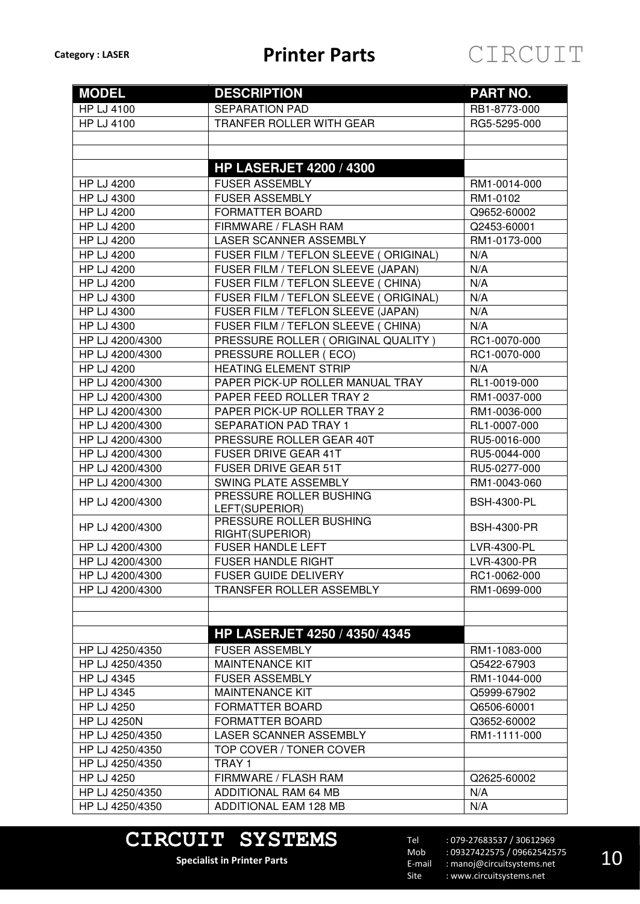| <b>MODEL</b>                         | <b>DESCRIPTION</b>                              | <b>PART NO.</b>    |
|--------------------------------------|-------------------------------------------------|--------------------|
| <b>HP LJ 4100</b>                    | <b>SEPARATION PAD</b>                           | RB1-8773-000       |
| <b>HP LJ 4100</b>                    | TRANFER ROLLER WITH GEAR                        | RG5-5295-000       |
|                                      |                                                 |                    |
|                                      |                                                 |                    |
|                                      | <b>HP LASERJET 4200 / 4300</b>                  |                    |
| <b>HP LJ 4200</b>                    | <b>FUSER ASSEMBLY</b>                           | RM1-0014-000       |
| HP LJ 4300                           | <b>FUSER ASSEMBLY</b>                           | RM1-0102           |
| <b>HP LJ 4200</b>                    | <b>FORMATTER BOARD</b>                          | Q9652-60002        |
| <b>HP LJ 4200</b>                    | FIRMWARE / FLASH RAM                            | Q2453-60001        |
| <b>HP LJ 4200</b>                    | LASER SCANNER ASSEMBLY                          | RM1-0173-000       |
| <b>HP LJ 4200</b>                    | FUSER FILM / TEFLON SLEEVE (ORIGINAL)           | N/A                |
| <b>HP LJ 4200</b>                    | FUSER FILM / TEFLON SLEEVE (JAPAN)              | N/A                |
| <b>HP LJ 4200</b>                    | FUSER FILM / TEFLON SLEEVE ( CHINA)             | N/A                |
| HP LJ 4300                           | FUSER FILM / TEFLON SLEEVE (ORIGINAL)           | N/A                |
| <b>HP LJ 4300</b>                    | FUSER FILM / TEFLON SLEEVE (JAPAN)              | N/A                |
| HP LJ 4300                           | FUSER FILM / TEFLON SLEEVE ( CHINA)             | N/A                |
| HP LJ 4200/4300                      | PRESSURE ROLLER (ORIGINAL QUALITY)              | RC1-0070-000       |
| HP LJ 4200/4300                      | PRESSURE ROLLER (ECO)                           | RC1-0070-000       |
| <b>HP LJ 4200</b>                    | <b>HEATING ELEMENT STRIP</b>                    | N/A                |
| HP LJ 4200/4300                      | PAPER PICK-UP ROLLER MANUAL TRAY                | RL1-0019-000       |
| HP LJ 4200/4300                      | PAPER FEED ROLLER TRAY 2                        | RM1-0037-000       |
| HP LJ 4200/4300                      | PAPER PICK-UP ROLLER TRAY 2                     | RM1-0036-000       |
| HP LJ 4200/4300                      | <b>SEPARATION PAD TRAY 1</b>                    | RL1-0007-000       |
| HP LJ 4200/4300                      | PRESSURE ROLLER GEAR 40T                        | RU5-0016-000       |
| HP LJ 4200/4300                      | <b>FUSER DRIVE GEAR 41T</b>                     | RU5-0044-000       |
| HP LJ 4200/4300                      | <b>FUSER DRIVE GEAR 51T</b>                     | RU5-0277-000       |
| HP LJ 4200/4300                      | SWING PLATE ASSEMBLY                            | RM1-0043-060       |
| HP LJ 4200/4300                      | PRESSURE ROLLER BUSHING                         | <b>BSH-4300-PL</b> |
|                                      | LEFT(SUPERIOR)                                  |                    |
| HP LJ 4200/4300                      | PRESSURE ROLLER BUSHING                         | <b>BSH-4300-PR</b> |
| HP LJ 4200/4300                      | RIGHT(SUPERIOR)<br><b>FUSER HANDLE LEFT</b>     | LVR-4300-PL        |
| HP LJ 4200/4300                      | FUSER HANDLE RIGHT                              | LVR-4300-PR        |
| HP LJ 4200/4300                      | <b>FUSER GUIDE DELIVERY</b>                     | RC1-0062-000       |
| HP LJ 4200/4300                      | TRANSFER ROLLER ASSEMBLY                        | RM1-0699-000       |
|                                      |                                                 |                    |
|                                      |                                                 |                    |
|                                      | <b>HP LASERJET 4250 / 4350/ 4345</b>            |                    |
|                                      |                                                 |                    |
| HP LJ 4250/4350                      | <b>FUSER ASSEMBLY</b><br><b>MAINTENANCE KIT</b> | RM1-1083-000       |
| HP LJ 4250/4350                      |                                                 | Q5422-67903        |
| HP LJ 4345                           | <b>FUSER ASSEMBLY</b>                           | RM1-1044-000       |
| HP LJ 4345                           | <b>MAINTENANCE KIT</b>                          | Q5999-67902        |
| HP LJ 4250                           | <b>FORMATTER BOARD</b>                          | Q6506-60001        |
| <b>HP LJ 4250N</b>                   | FORMATTER BOARD                                 | Q3652-60002        |
| HP LJ 4250/4350                      | LASER SCANNER ASSEMBLY                          | RM1-1111-000       |
| HP LJ 4250/4350                      | TOP COVER / TONER COVER                         |                    |
| HP LJ 4250/4350                      | TRAY 1                                          |                    |
| <b>HP LJ 4250</b><br>HP LJ 4250/4350 | FIRMWARE / FLASH RAM<br>ADDITIONAL RAM 64 MB    | Q2625-60002<br>N/A |
| HP LJ 4250/4350                      | <b>ADDITIONAL EAM 128 MB</b>                    | N/A                |
|                                      |                                                 |                    |

# **CIRCUIT SYSTEMS**

**Specialist in Printer Parts**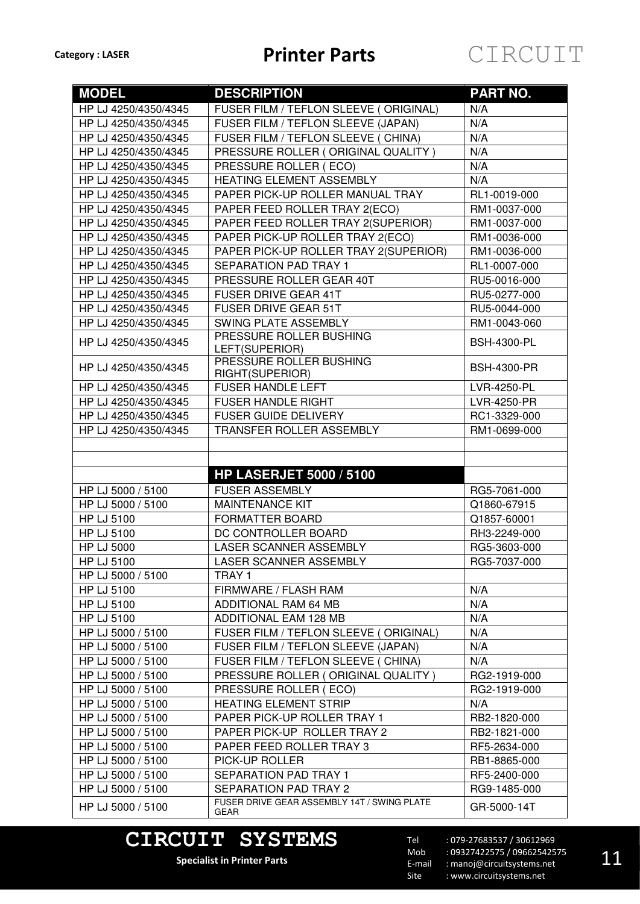| <b>MODEL</b>         | <b>DESCRIPTION</b>                                  | PART NO.           |
|----------------------|-----------------------------------------------------|--------------------|
| HP LJ 4250/4350/4345 | FUSER FILM / TEFLON SLEEVE (ORIGINAL)               | N/A                |
| HP LJ 4250/4350/4345 | FUSER FILM / TEFLON SLEEVE (JAPAN)                  | N/A                |
| HP LJ 4250/4350/4345 | FUSER FILM / TEFLON SLEEVE ( CHINA)                 | N/A                |
| HP LJ 4250/4350/4345 | PRESSURE ROLLER (ORIGINAL QUALITY)                  | N/A                |
| HP LJ 4250/4350/4345 | PRESSURE ROLLER (ECO)                               | N/A                |
| HP LJ 4250/4350/4345 | HEATING ELEMENT ASSEMBLY                            | N/A                |
| HP LJ 4250/4350/4345 | PAPER PICK-UP ROLLER MANUAL TRAY                    | RL1-0019-000       |
| HP LJ 4250/4350/4345 | PAPER FEED ROLLER TRAY 2(ECO)                       | RM1-0037-000       |
| HP LJ 4250/4350/4345 | PAPER FEED ROLLER TRAY 2(SUPERIOR)                  | RM1-0037-000       |
| HP LJ 4250/4350/4345 | PAPER PICK-UP ROLLER TRAY 2(ECO)                    | RM1-0036-000       |
| HP LJ 4250/4350/4345 | PAPER PICK-UP ROLLER TRAY 2(SUPERIOR)               | RM1-0036-000       |
| HP LJ 4250/4350/4345 | SEPARATION PAD TRAY 1                               | RL1-0007-000       |
| HP LJ 4250/4350/4345 | PRESSURE ROLLER GEAR 40T                            | RU5-0016-000       |
| HP LJ 4250/4350/4345 | FUSER DRIVE GEAR 41T                                | RU5-0277-000       |
| HP LJ 4250/4350/4345 | <b>FUSER DRIVE GEAR 51T</b>                         | RU5-0044-000       |
| HP LJ 4250/4350/4345 | SWING PLATE ASSEMBLY                                | RM1-0043-060       |
| HP LJ 4250/4350/4345 | PRESSURE ROLLER BUSHING<br>LEFT(SUPERIOR)           | <b>BSH-4300-PL</b> |
| HP LJ 4250/4350/4345 | PRESSURE ROLLER BUSHING<br>RIGHT(SUPERIOR)          | <b>BSH-4300-PR</b> |
| HP LJ 4250/4350/4345 | <b>FUSER HANDLE LEFT</b>                            | LVR-4250-PL        |
| HP LJ 4250/4350/4345 | <b>FUSER HANDLE RIGHT</b>                           | LVR-4250-PR        |
| HP LJ 4250/4350/4345 | <b>FUSER GUIDE DELIVERY</b>                         | RC1-3329-000       |
| HP LJ 4250/4350/4345 | TRANSFER ROLLER ASSEMBLY                            | RM1-0699-000       |
|                      |                                                     |                    |
|                      |                                                     |                    |
|                      | <b>HP LASERJET 5000 / 5100</b>                      |                    |
| HP LJ 5000 / 5100    | <b>FUSER ASSEMBLY</b>                               | RG5-7061-000       |
| HP LJ 5000 / 5100    | <b>MAINTENANCE KIT</b>                              | Q1860-67915        |
| HP LJ 5100           | <b>FORMATTER BOARD</b>                              | Q1857-60001        |
| HP LJ 5100           | DC CONTROLLER BOARD                                 | RH3-2249-000       |
| <b>HP LJ 5000</b>    | LASER SCANNER ASSEMBLY                              | RG5-3603-000       |
| <b>HP LJ 5100</b>    | LASER SCANNER ASSEMBLY                              | RG5-7037-000       |
| HP LJ 5000 / 5100    | TRAY 1                                              |                    |
| <b>HP LJ 5100</b>    | FIRMWARE / FLASH RAM                                | N/A                |
| <b>HP LJ 5100</b>    | ADDITIONAL RAM 64 MB                                | N/A                |
| <b>HP LJ 5100</b>    | ADDITIONAL EAM 128 MB                               | N/A                |
| HP LJ 5000 / 5100    | FUSER FILM / TEFLON SLEEVE (ORIGINAL)               | N/A                |
| HP LJ 5000 / 5100    | FUSER FILM / TEFLON SLEEVE (JAPAN)                  | N/A                |
| HP LJ 5000 / 5100    | FUSER FILM / TEFLON SLEEVE ( CHINA)                 | N/A                |
| HP LJ 5000 / 5100    | PRESSURE ROLLER (ORIGINAL QUALITY)                  | RG2-1919-000       |
| HP LJ 5000 / 5100    | PRESSURE ROLLER (ECO)                               | RG2-1919-000       |
| HP LJ 5000 / 5100    | <b>HEATING ELEMENT STRIP</b>                        | N/A                |
| HP LJ 5000 / 5100    | PAPER PICK-UP ROLLER TRAY 1                         | RB2-1820-000       |
| HP LJ 5000 / 5100    | PAPER PICK-UP ROLLER TRAY 2                         | RB2-1821-000       |
| HP LJ 5000 / 5100    | PAPER FEED ROLLER TRAY 3                            | RF5-2634-000       |
| HP LJ 5000 / 5100    | PICK-UP ROLLER                                      | RB1-8865-000       |
| HP LJ 5000 / 5100    | SEPARATION PAD TRAY 1                               | RF5-2400-000       |
| HP LJ 5000 / 5100    | SEPARATION PAD TRAY 2                               | RG9-1485-000       |
| HP LJ 5000 / 5100    | FUSER DRIVE GEAR ASSEMBLY 14T / SWING PLATE<br>GEAR | GR-5000-14T        |

## **CIRCUIT SYSTEMS**

**Specialist in Printer Parts**

Tel Mob E-mail Site : 079-27683537 / 30612969 : 09327422575 / 09662542575 : manoj@circuitsystems.net : www.circuitsystems.net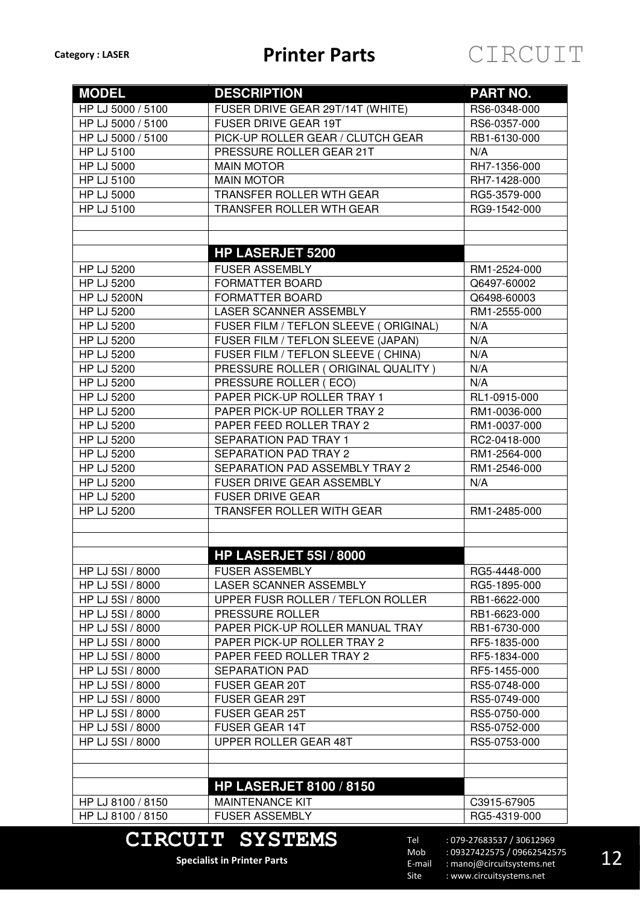| FUSER DRIVE GEAR 29T/14T (WHITE)<br>HP LJ 5000 / 5100<br>RS6-0348-000<br>FUSER DRIVE GEAR 19T<br>HP LJ 5000 / 5100<br>RS6-0357-000<br>PICK-UP ROLLER GEAR / CLUTCH GEAR<br>HP LJ 5000 / 5100<br>RB1-6130-000<br><b>HP LJ 5100</b><br>PRESSURE ROLLER GEAR 21T<br>N/A<br><b>HP LJ 5000</b><br><b>MAIN MOTOR</b><br>RH7-1356-000<br>HP LJ 5100<br><b>MAIN MOTOR</b><br>RH7-1428-000<br><b>HP LJ 5000</b><br>TRANSFER ROLLER WTH GEAR<br>RG5-3579-000<br><b>HP LJ 5100</b><br>TRANSFER ROLLER WTH GEAR<br>RG9-1542-000<br><b>HP LASERJET 5200</b><br><b>HP LJ 5200</b><br><b>FUSER ASSEMBLY</b><br>RM1-2524-000<br><b>HP LJ 5200</b><br><b>FORMATTER BOARD</b><br>Q6497-60002<br><b>HP LJ 5200N</b><br><b>FORMATTER BOARD</b><br>Q6498-60003<br>LASER SCANNER ASSEMBLY<br><b>HP LJ 5200</b><br>RM1-2555-000<br><b>HP LJ 5200</b><br>FUSER FILM / TEFLON SLEEVE (ORIGINAL)<br>N/A<br><b>HP LJ 5200</b><br>FUSER FILM / TEFLON SLEEVE (JAPAN)<br>N/A<br>FUSER FILM / TEFLON SLEEVE ( CHINA)<br>HP LJ 5200<br>N/A<br>PRESSURE ROLLER (ORIGINAL QUALITY)<br><b>HP LJ 5200</b><br>N/A<br><b>HP LJ 5200</b><br>PRESSURE ROLLER (ECO)<br>N/A<br>PAPER PICK-UP ROLLER TRAY 1<br><b>HP LJ 5200</b><br>RL1-0915-000<br><b>HP LJ 5200</b><br>PAPER PICK-UP ROLLER TRAY 2<br>RM1-0036-000<br>HP LJ 5200<br>PAPER FEED ROLLER TRAY 2<br>RM1-0037-000<br><b>SEPARATION PAD TRAY 1</b><br><b>HP LJ 5200</b><br>RC2-0418-000<br><b>HP LJ 5200</b><br><b>SEPARATION PAD TRAY 2</b><br>RM1-2564-000<br><b>HP LJ 5200</b><br>SEPARATION PAD ASSEMBLY TRAY 2<br>RM1-2546-000<br><b>HP LJ 5200</b><br><b>FUSER DRIVE GEAR ASSEMBLY</b><br>N/A<br><b>HP LJ 5200</b><br><b>FUSER DRIVE GEAR</b><br><b>HP LJ 5200</b><br>TRANSFER ROLLER WITH GEAR<br>RM1-2485-000<br>HP LASERJET 5SI / 8000<br>HP LJ 5SI / 8000<br><b>FUSER ASSEMBLY</b><br>RG5-4448-000<br>HP LJ 5SI / 8000<br>LASER SCANNER ASSEMBLY<br>RG5-1895-000<br>HP LJ 5SI / 8000<br>UPPER FUSR ROLLER / TEFLON ROLLER<br>RB1-6622-000<br>HP LJ 5SI / 8000<br>PRESSURE ROLLER<br>RB1-6623-000<br>HP LJ 5SI / 8000<br>PAPER PICK-UP ROLLER MANUAL TRAY<br>RB1-6730-000<br>HP LJ 5SI / 8000<br>PAPER PICK-UP ROLLER TRAY 2<br>RF5-1835-000<br>HP LJ 5SI / 8000<br>PAPER FEED ROLLER TRAY 2<br>RF5-1834-000<br>HP LJ 5SI / 8000<br><b>SEPARATION PAD</b><br>RF5-1455-000<br>HP LJ 5SI / 8000<br><b>FUSER GEAR 20T</b><br>RS5-0748-000<br>HP LJ 5SI / 8000<br>FUSER GEAR 29T<br>RS5-0749-000 | <b>MODEL</b>     | <b>DESCRIPTION</b>            | <b>PART NO.</b>           |
|-------------------------------------------------------------------------------------------------------------------------------------------------------------------------------------------------------------------------------------------------------------------------------------------------------------------------------------------------------------------------------------------------------------------------------------------------------------------------------------------------------------------------------------------------------------------------------------------------------------------------------------------------------------------------------------------------------------------------------------------------------------------------------------------------------------------------------------------------------------------------------------------------------------------------------------------------------------------------------------------------------------------------------------------------------------------------------------------------------------------------------------------------------------------------------------------------------------------------------------------------------------------------------------------------------------------------------------------------------------------------------------------------------------------------------------------------------------------------------------------------------------------------------------------------------------------------------------------------------------------------------------------------------------------------------------------------------------------------------------------------------------------------------------------------------------------------------------------------------------------------------------------------------------------------------------------------------------------------------------------------------------------------------------------------------------------------------------------------------------------------------------------------------------------------------------------------------------------------------------------------------------------------------------------------------------------------------------------------------------------------------------------------------------------------|------------------|-------------------------------|---------------------------|
|                                                                                                                                                                                                                                                                                                                                                                                                                                                                                                                                                                                                                                                                                                                                                                                                                                                                                                                                                                                                                                                                                                                                                                                                                                                                                                                                                                                                                                                                                                                                                                                                                                                                                                                                                                                                                                                                                                                                                                                                                                                                                                                                                                                                                                                                                                                                                                                                                         |                  |                               |                           |
|                                                                                                                                                                                                                                                                                                                                                                                                                                                                                                                                                                                                                                                                                                                                                                                                                                                                                                                                                                                                                                                                                                                                                                                                                                                                                                                                                                                                                                                                                                                                                                                                                                                                                                                                                                                                                                                                                                                                                                                                                                                                                                                                                                                                                                                                                                                                                                                                                         |                  |                               |                           |
|                                                                                                                                                                                                                                                                                                                                                                                                                                                                                                                                                                                                                                                                                                                                                                                                                                                                                                                                                                                                                                                                                                                                                                                                                                                                                                                                                                                                                                                                                                                                                                                                                                                                                                                                                                                                                                                                                                                                                                                                                                                                                                                                                                                                                                                                                                                                                                                                                         |                  |                               |                           |
|                                                                                                                                                                                                                                                                                                                                                                                                                                                                                                                                                                                                                                                                                                                                                                                                                                                                                                                                                                                                                                                                                                                                                                                                                                                                                                                                                                                                                                                                                                                                                                                                                                                                                                                                                                                                                                                                                                                                                                                                                                                                                                                                                                                                                                                                                                                                                                                                                         |                  |                               |                           |
|                                                                                                                                                                                                                                                                                                                                                                                                                                                                                                                                                                                                                                                                                                                                                                                                                                                                                                                                                                                                                                                                                                                                                                                                                                                                                                                                                                                                                                                                                                                                                                                                                                                                                                                                                                                                                                                                                                                                                                                                                                                                                                                                                                                                                                                                                                                                                                                                                         |                  |                               |                           |
|                                                                                                                                                                                                                                                                                                                                                                                                                                                                                                                                                                                                                                                                                                                                                                                                                                                                                                                                                                                                                                                                                                                                                                                                                                                                                                                                                                                                                                                                                                                                                                                                                                                                                                                                                                                                                                                                                                                                                                                                                                                                                                                                                                                                                                                                                                                                                                                                                         |                  |                               |                           |
|                                                                                                                                                                                                                                                                                                                                                                                                                                                                                                                                                                                                                                                                                                                                                                                                                                                                                                                                                                                                                                                                                                                                                                                                                                                                                                                                                                                                                                                                                                                                                                                                                                                                                                                                                                                                                                                                                                                                                                                                                                                                                                                                                                                                                                                                                                                                                                                                                         |                  |                               |                           |
|                                                                                                                                                                                                                                                                                                                                                                                                                                                                                                                                                                                                                                                                                                                                                                                                                                                                                                                                                                                                                                                                                                                                                                                                                                                                                                                                                                                                                                                                                                                                                                                                                                                                                                                                                                                                                                                                                                                                                                                                                                                                                                                                                                                                                                                                                                                                                                                                                         |                  |                               |                           |
|                                                                                                                                                                                                                                                                                                                                                                                                                                                                                                                                                                                                                                                                                                                                                                                                                                                                                                                                                                                                                                                                                                                                                                                                                                                                                                                                                                                                                                                                                                                                                                                                                                                                                                                                                                                                                                                                                                                                                                                                                                                                                                                                                                                                                                                                                                                                                                                                                         |                  |                               |                           |
|                                                                                                                                                                                                                                                                                                                                                                                                                                                                                                                                                                                                                                                                                                                                                                                                                                                                                                                                                                                                                                                                                                                                                                                                                                                                                                                                                                                                                                                                                                                                                                                                                                                                                                                                                                                                                                                                                                                                                                                                                                                                                                                                                                                                                                                                                                                                                                                                                         |                  |                               |                           |
|                                                                                                                                                                                                                                                                                                                                                                                                                                                                                                                                                                                                                                                                                                                                                                                                                                                                                                                                                                                                                                                                                                                                                                                                                                                                                                                                                                                                                                                                                                                                                                                                                                                                                                                                                                                                                                                                                                                                                                                                                                                                                                                                                                                                                                                                                                                                                                                                                         |                  |                               |                           |
|                                                                                                                                                                                                                                                                                                                                                                                                                                                                                                                                                                                                                                                                                                                                                                                                                                                                                                                                                                                                                                                                                                                                                                                                                                                                                                                                                                                                                                                                                                                                                                                                                                                                                                                                                                                                                                                                                                                                                                                                                                                                                                                                                                                                                                                                                                                                                                                                                         |                  |                               |                           |
|                                                                                                                                                                                                                                                                                                                                                                                                                                                                                                                                                                                                                                                                                                                                                                                                                                                                                                                                                                                                                                                                                                                                                                                                                                                                                                                                                                                                                                                                                                                                                                                                                                                                                                                                                                                                                                                                                                                                                                                                                                                                                                                                                                                                                                                                                                                                                                                                                         |                  |                               |                           |
|                                                                                                                                                                                                                                                                                                                                                                                                                                                                                                                                                                                                                                                                                                                                                                                                                                                                                                                                                                                                                                                                                                                                                                                                                                                                                                                                                                                                                                                                                                                                                                                                                                                                                                                                                                                                                                                                                                                                                                                                                                                                                                                                                                                                                                                                                                                                                                                                                         |                  |                               |                           |
|                                                                                                                                                                                                                                                                                                                                                                                                                                                                                                                                                                                                                                                                                                                                                                                                                                                                                                                                                                                                                                                                                                                                                                                                                                                                                                                                                                                                                                                                                                                                                                                                                                                                                                                                                                                                                                                                                                                                                                                                                                                                                                                                                                                                                                                                                                                                                                                                                         |                  |                               |                           |
|                                                                                                                                                                                                                                                                                                                                                                                                                                                                                                                                                                                                                                                                                                                                                                                                                                                                                                                                                                                                                                                                                                                                                                                                                                                                                                                                                                                                                                                                                                                                                                                                                                                                                                                                                                                                                                                                                                                                                                                                                                                                                                                                                                                                                                                                                                                                                                                                                         |                  |                               |                           |
|                                                                                                                                                                                                                                                                                                                                                                                                                                                                                                                                                                                                                                                                                                                                                                                                                                                                                                                                                                                                                                                                                                                                                                                                                                                                                                                                                                                                                                                                                                                                                                                                                                                                                                                                                                                                                                                                                                                                                                                                                                                                                                                                                                                                                                                                                                                                                                                                                         |                  |                               |                           |
|                                                                                                                                                                                                                                                                                                                                                                                                                                                                                                                                                                                                                                                                                                                                                                                                                                                                                                                                                                                                                                                                                                                                                                                                                                                                                                                                                                                                                                                                                                                                                                                                                                                                                                                                                                                                                                                                                                                                                                                                                                                                                                                                                                                                                                                                                                                                                                                                                         |                  |                               |                           |
|                                                                                                                                                                                                                                                                                                                                                                                                                                                                                                                                                                                                                                                                                                                                                                                                                                                                                                                                                                                                                                                                                                                                                                                                                                                                                                                                                                                                                                                                                                                                                                                                                                                                                                                                                                                                                                                                                                                                                                                                                                                                                                                                                                                                                                                                                                                                                                                                                         |                  |                               |                           |
|                                                                                                                                                                                                                                                                                                                                                                                                                                                                                                                                                                                                                                                                                                                                                                                                                                                                                                                                                                                                                                                                                                                                                                                                                                                                                                                                                                                                                                                                                                                                                                                                                                                                                                                                                                                                                                                                                                                                                                                                                                                                                                                                                                                                                                                                                                                                                                                                                         |                  |                               |                           |
|                                                                                                                                                                                                                                                                                                                                                                                                                                                                                                                                                                                                                                                                                                                                                                                                                                                                                                                                                                                                                                                                                                                                                                                                                                                                                                                                                                                                                                                                                                                                                                                                                                                                                                                                                                                                                                                                                                                                                                                                                                                                                                                                                                                                                                                                                                                                                                                                                         |                  |                               |                           |
|                                                                                                                                                                                                                                                                                                                                                                                                                                                                                                                                                                                                                                                                                                                                                                                                                                                                                                                                                                                                                                                                                                                                                                                                                                                                                                                                                                                                                                                                                                                                                                                                                                                                                                                                                                                                                                                                                                                                                                                                                                                                                                                                                                                                                                                                                                                                                                                                                         |                  |                               |                           |
|                                                                                                                                                                                                                                                                                                                                                                                                                                                                                                                                                                                                                                                                                                                                                                                                                                                                                                                                                                                                                                                                                                                                                                                                                                                                                                                                                                                                                                                                                                                                                                                                                                                                                                                                                                                                                                                                                                                                                                                                                                                                                                                                                                                                                                                                                                                                                                                                                         |                  |                               |                           |
|                                                                                                                                                                                                                                                                                                                                                                                                                                                                                                                                                                                                                                                                                                                                                                                                                                                                                                                                                                                                                                                                                                                                                                                                                                                                                                                                                                                                                                                                                                                                                                                                                                                                                                                                                                                                                                                                                                                                                                                                                                                                                                                                                                                                                                                                                                                                                                                                                         |                  |                               |                           |
|                                                                                                                                                                                                                                                                                                                                                                                                                                                                                                                                                                                                                                                                                                                                                                                                                                                                                                                                                                                                                                                                                                                                                                                                                                                                                                                                                                                                                                                                                                                                                                                                                                                                                                                                                                                                                                                                                                                                                                                                                                                                                                                                                                                                                                                                                                                                                                                                                         |                  |                               |                           |
|                                                                                                                                                                                                                                                                                                                                                                                                                                                                                                                                                                                                                                                                                                                                                                                                                                                                                                                                                                                                                                                                                                                                                                                                                                                                                                                                                                                                                                                                                                                                                                                                                                                                                                                                                                                                                                                                                                                                                                                                                                                                                                                                                                                                                                                                                                                                                                                                                         |                  |                               |                           |
|                                                                                                                                                                                                                                                                                                                                                                                                                                                                                                                                                                                                                                                                                                                                                                                                                                                                                                                                                                                                                                                                                                                                                                                                                                                                                                                                                                                                                                                                                                                                                                                                                                                                                                                                                                                                                                                                                                                                                                                                                                                                                                                                                                                                                                                                                                                                                                                                                         |                  |                               |                           |
|                                                                                                                                                                                                                                                                                                                                                                                                                                                                                                                                                                                                                                                                                                                                                                                                                                                                                                                                                                                                                                                                                                                                                                                                                                                                                                                                                                                                                                                                                                                                                                                                                                                                                                                                                                                                                                                                                                                                                                                                                                                                                                                                                                                                                                                                                                                                                                                                                         |                  |                               |                           |
|                                                                                                                                                                                                                                                                                                                                                                                                                                                                                                                                                                                                                                                                                                                                                                                                                                                                                                                                                                                                                                                                                                                                                                                                                                                                                                                                                                                                                                                                                                                                                                                                                                                                                                                                                                                                                                                                                                                                                                                                                                                                                                                                                                                                                                                                                                                                                                                                                         |                  |                               |                           |
|                                                                                                                                                                                                                                                                                                                                                                                                                                                                                                                                                                                                                                                                                                                                                                                                                                                                                                                                                                                                                                                                                                                                                                                                                                                                                                                                                                                                                                                                                                                                                                                                                                                                                                                                                                                                                                                                                                                                                                                                                                                                                                                                                                                                                                                                                                                                                                                                                         |                  |                               |                           |
|                                                                                                                                                                                                                                                                                                                                                                                                                                                                                                                                                                                                                                                                                                                                                                                                                                                                                                                                                                                                                                                                                                                                                                                                                                                                                                                                                                                                                                                                                                                                                                                                                                                                                                                                                                                                                                                                                                                                                                                                                                                                                                                                                                                                                                                                                                                                                                                                                         |                  |                               |                           |
|                                                                                                                                                                                                                                                                                                                                                                                                                                                                                                                                                                                                                                                                                                                                                                                                                                                                                                                                                                                                                                                                                                                                                                                                                                                                                                                                                                                                                                                                                                                                                                                                                                                                                                                                                                                                                                                                                                                                                                                                                                                                                                                                                                                                                                                                                                                                                                                                                         |                  |                               |                           |
|                                                                                                                                                                                                                                                                                                                                                                                                                                                                                                                                                                                                                                                                                                                                                                                                                                                                                                                                                                                                                                                                                                                                                                                                                                                                                                                                                                                                                                                                                                                                                                                                                                                                                                                                                                                                                                                                                                                                                                                                                                                                                                                                                                                                                                                                                                                                                                                                                         |                  |                               |                           |
|                                                                                                                                                                                                                                                                                                                                                                                                                                                                                                                                                                                                                                                                                                                                                                                                                                                                                                                                                                                                                                                                                                                                                                                                                                                                                                                                                                                                                                                                                                                                                                                                                                                                                                                                                                                                                                                                                                                                                                                                                                                                                                                                                                                                                                                                                                                                                                                                                         |                  |                               |                           |
|                                                                                                                                                                                                                                                                                                                                                                                                                                                                                                                                                                                                                                                                                                                                                                                                                                                                                                                                                                                                                                                                                                                                                                                                                                                                                                                                                                                                                                                                                                                                                                                                                                                                                                                                                                                                                                                                                                                                                                                                                                                                                                                                                                                                                                                                                                                                                                                                                         |                  |                               |                           |
|                                                                                                                                                                                                                                                                                                                                                                                                                                                                                                                                                                                                                                                                                                                                                                                                                                                                                                                                                                                                                                                                                                                                                                                                                                                                                                                                                                                                                                                                                                                                                                                                                                                                                                                                                                                                                                                                                                                                                                                                                                                                                                                                                                                                                                                                                                                                                                                                                         |                  |                               |                           |
|                                                                                                                                                                                                                                                                                                                                                                                                                                                                                                                                                                                                                                                                                                                                                                                                                                                                                                                                                                                                                                                                                                                                                                                                                                                                                                                                                                                                                                                                                                                                                                                                                                                                                                                                                                                                                                                                                                                                                                                                                                                                                                                                                                                                                                                                                                                                                                                                                         |                  |                               |                           |
|                                                                                                                                                                                                                                                                                                                                                                                                                                                                                                                                                                                                                                                                                                                                                                                                                                                                                                                                                                                                                                                                                                                                                                                                                                                                                                                                                                                                                                                                                                                                                                                                                                                                                                                                                                                                                                                                                                                                                                                                                                                                                                                                                                                                                                                                                                                                                                                                                         |                  |                               |                           |
|                                                                                                                                                                                                                                                                                                                                                                                                                                                                                                                                                                                                                                                                                                                                                                                                                                                                                                                                                                                                                                                                                                                                                                                                                                                                                                                                                                                                                                                                                                                                                                                                                                                                                                                                                                                                                                                                                                                                                                                                                                                                                                                                                                                                                                                                                                                                                                                                                         |                  |                               |                           |
|                                                                                                                                                                                                                                                                                                                                                                                                                                                                                                                                                                                                                                                                                                                                                                                                                                                                                                                                                                                                                                                                                                                                                                                                                                                                                                                                                                                                                                                                                                                                                                                                                                                                                                                                                                                                                                                                                                                                                                                                                                                                                                                                                                                                                                                                                                                                                                                                                         |                  |                               |                           |
|                                                                                                                                                                                                                                                                                                                                                                                                                                                                                                                                                                                                                                                                                                                                                                                                                                                                                                                                                                                                                                                                                                                                                                                                                                                                                                                                                                                                                                                                                                                                                                                                                                                                                                                                                                                                                                                                                                                                                                                                                                                                                                                                                                                                                                                                                                                                                                                                                         |                  |                               |                           |
|                                                                                                                                                                                                                                                                                                                                                                                                                                                                                                                                                                                                                                                                                                                                                                                                                                                                                                                                                                                                                                                                                                                                                                                                                                                                                                                                                                                                                                                                                                                                                                                                                                                                                                                                                                                                                                                                                                                                                                                                                                                                                                                                                                                                                                                                                                                                                                                                                         |                  |                               |                           |
|                                                                                                                                                                                                                                                                                                                                                                                                                                                                                                                                                                                                                                                                                                                                                                                                                                                                                                                                                                                                                                                                                                                                                                                                                                                                                                                                                                                                                                                                                                                                                                                                                                                                                                                                                                                                                                                                                                                                                                                                                                                                                                                                                                                                                                                                                                                                                                                                                         | HP LJ 5SI / 8000 | <b>FUSER GEAR 25T</b>         | RS5-0750-000              |
| HP LJ 5SI / 8000<br><b>FUSER GEAR 14T</b><br>RS5-0752-000                                                                                                                                                                                                                                                                                                                                                                                                                                                                                                                                                                                                                                                                                                                                                                                                                                                                                                                                                                                                                                                                                                                                                                                                                                                                                                                                                                                                                                                                                                                                                                                                                                                                                                                                                                                                                                                                                                                                                                                                                                                                                                                                                                                                                                                                                                                                                               |                  |                               |                           |
| HP LJ 5SI / 8000<br><b>UPPER ROLLER GEAR 48T</b><br>RS5-0753-000                                                                                                                                                                                                                                                                                                                                                                                                                                                                                                                                                                                                                                                                                                                                                                                                                                                                                                                                                                                                                                                                                                                                                                                                                                                                                                                                                                                                                                                                                                                                                                                                                                                                                                                                                                                                                                                                                                                                                                                                                                                                                                                                                                                                                                                                                                                                                        |                  |                               |                           |
|                                                                                                                                                                                                                                                                                                                                                                                                                                                                                                                                                                                                                                                                                                                                                                                                                                                                                                                                                                                                                                                                                                                                                                                                                                                                                                                                                                                                                                                                                                                                                                                                                                                                                                                                                                                                                                                                                                                                                                                                                                                                                                                                                                                                                                                                                                                                                                                                                         |                  |                               |                           |
|                                                                                                                                                                                                                                                                                                                                                                                                                                                                                                                                                                                                                                                                                                                                                                                                                                                                                                                                                                                                                                                                                                                                                                                                                                                                                                                                                                                                                                                                                                                                                                                                                                                                                                                                                                                                                                                                                                                                                                                                                                                                                                                                                                                                                                                                                                                                                                                                                         |                  |                               |                           |
| <b>HP LASERJET 8100 / 8150</b>                                                                                                                                                                                                                                                                                                                                                                                                                                                                                                                                                                                                                                                                                                                                                                                                                                                                                                                                                                                                                                                                                                                                                                                                                                                                                                                                                                                                                                                                                                                                                                                                                                                                                                                                                                                                                                                                                                                                                                                                                                                                                                                                                                                                                                                                                                                                                                                          |                  |                               |                           |
| <b>MAINTENANCE KIT</b><br>HP LJ 8100 / 8150<br>C3915-67905                                                                                                                                                                                                                                                                                                                                                                                                                                                                                                                                                                                                                                                                                                                                                                                                                                                                                                                                                                                                                                                                                                                                                                                                                                                                                                                                                                                                                                                                                                                                                                                                                                                                                                                                                                                                                                                                                                                                                                                                                                                                                                                                                                                                                                                                                                                                                              |                  |                               |                           |
| HP LJ 8100 / 8150<br><b>FUSER ASSEMBLY</b><br>RG5-4319-000                                                                                                                                                                                                                                                                                                                                                                                                                                                                                                                                                                                                                                                                                                                                                                                                                                                                                                                                                                                                                                                                                                                                                                                                                                                                                                                                                                                                                                                                                                                                                                                                                                                                                                                                                                                                                                                                                                                                                                                                                                                                                                                                                                                                                                                                                                                                                              |                  |                               |                           |
|                                                                                                                                                                                                                                                                                                                                                                                                                                                                                                                                                                                                                                                                                                                                                                                                                                                                                                                                                                                                                                                                                                                                                                                                                                                                                                                                                                                                                                                                                                                                                                                                                                                                                                                                                                                                                                                                                                                                                                                                                                                                                                                                                                                                                                                                                                                                                                                                                         |                  | <b>CIRCUIT SYSTEMS</b><br>Tel | : 079-27683537 / 30612969 |

**Specialist in Printer Parts**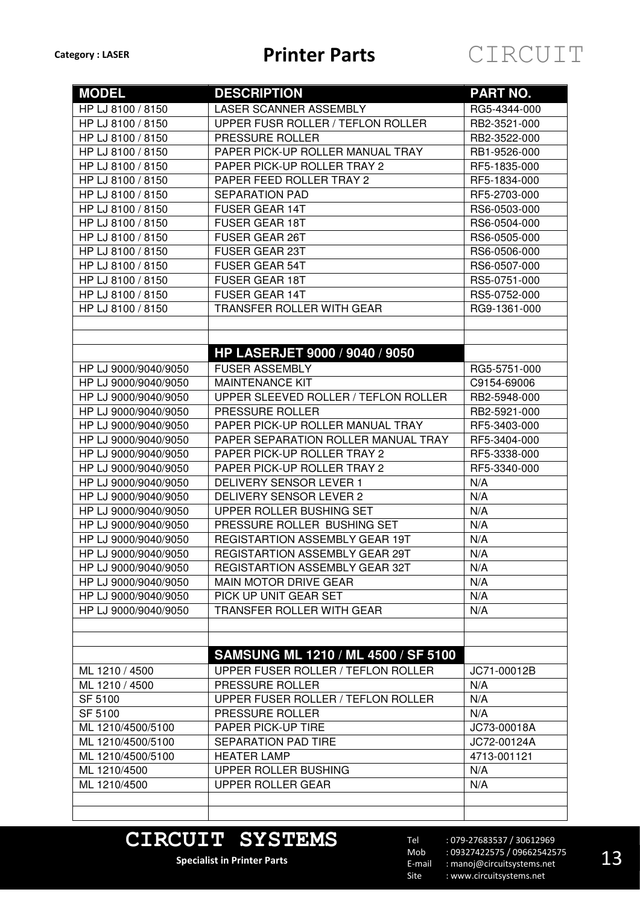| <b>MODEL</b>                                 | <b>DESCRIPTION</b>                                 | <b>PART NO.</b>            |  |  |
|----------------------------------------------|----------------------------------------------------|----------------------------|--|--|
| HP LJ 8100 / 8150                            | LASER SCANNER ASSEMBLY                             | RG5-4344-000               |  |  |
| HP LJ 8100 / 8150                            | UPPER FUSR ROLLER / TEFLON ROLLER                  | RB2-3521-000               |  |  |
| HP LJ 8100 / 8150                            | PRESSURE ROLLER                                    | RB2-3522-000               |  |  |
| HP LJ 8100 / 8150                            | PAPER PICK-UP ROLLER MANUAL TRAY                   | RB1-9526-000               |  |  |
| HP LJ 8100 / 8150                            | PAPER PICK-UP ROLLER TRAY 2                        | RF5-1835-000               |  |  |
| HP LJ 8100 / 8150                            | PAPER FEED ROLLER TRAY 2                           | RF5-1834-000               |  |  |
| HP LJ 8100 / 8150                            | <b>SEPARATION PAD</b>                              | RF5-2703-000               |  |  |
| HP LJ 8100 / 8150                            | <b>FUSER GEAR 14T</b>                              | RS6-0503-000               |  |  |
| HP LJ 8100 / 8150                            | <b>FUSER GEAR 18T</b>                              | RS6-0504-000               |  |  |
| HP LJ 8100 / 8150                            | <b>FUSER GEAR 26T</b>                              | RS6-0505-000               |  |  |
| HP LJ 8100 / 8150                            | <b>FUSER GEAR 23T</b>                              | RS6-0506-000               |  |  |
| HP LJ 8100 / 8150                            | FUSER GEAR 54T                                     | RS6-0507-000               |  |  |
| HP LJ 8100 / 8150                            | <b>FUSER GEAR 18T</b>                              | RS5-0751-000               |  |  |
| HP LJ 8100 / 8150                            | <b>FUSER GEAR 14T</b>                              | RS5-0752-000               |  |  |
| HP LJ 8100 / 8150                            | TRANSFER ROLLER WITH GEAR                          | RG9-1361-000               |  |  |
|                                              |                                                    |                            |  |  |
|                                              |                                                    |                            |  |  |
|                                              | HP LASERJET 9000 / 9040 / 9050                     |                            |  |  |
|                                              | <b>FUSER ASSEMBLY</b>                              |                            |  |  |
| HP LJ 9000/9040/9050                         | <b>MAINTENANCE KIT</b>                             | RG5-5751-000               |  |  |
| HP LJ 9000/9040/9050<br>HP LJ 9000/9040/9050 | UPPER SLEEVED ROLLER / TEFLON ROLLER               | C9154-69006                |  |  |
|                                              |                                                    | RB2-5948-000               |  |  |
| HP LJ 9000/9040/9050                         | PRESSURE ROLLER                                    | RB2-5921-000               |  |  |
| HP LJ 9000/9040/9050                         | PAPER PICK-UP ROLLER MANUAL TRAY                   | RF5-3403-000               |  |  |
| HP LJ 9000/9040/9050                         | PAPER SEPARATION ROLLER MANUAL TRAY                | RF5-3404-000               |  |  |
| HP LJ 9000/9040/9050                         | PAPER PICK-UP ROLLER TRAY 2                        | RF5-3338-000               |  |  |
| HP LJ 9000/9040/9050                         | PAPER PICK-UP ROLLER TRAY 2                        | RF5-3340-000               |  |  |
| HP LJ 9000/9040/9050                         | DELIVERY SENSOR LEVER 1<br>DELIVERY SENSOR LEVER 2 | N/A<br>N/A                 |  |  |
| HP LJ 9000/9040/9050<br>HP LJ 9000/9040/9050 | UPPER ROLLER BUSHING SET                           | N/A                        |  |  |
| HP LJ 9000/9040/9050                         | PRESSURE ROLLER BUSHING SET                        | N/A                        |  |  |
| HP LJ 9000/9040/9050                         | <b>REGISTARTION ASSEMBLY GEAR 19T</b>              | N/A                        |  |  |
| HP LJ 9000/9040/9050                         | <b>REGISTARTION ASSEMBLY GEAR 29T</b>              | N/A                        |  |  |
| HP LJ 9000/9040/9050                         | REGISTARTION ASSEMBLY GEAR 32T                     | N/A                        |  |  |
| HP LJ 9000/9040/9050                         | <b>MAIN MOTOR DRIVE GEAR</b>                       | N/A                        |  |  |
| HP LJ 9000/9040/9050                         | PICK UP UNIT GEAR SET                              | N/A                        |  |  |
| HP LJ 9000/9040/9050                         | TRANSFER ROLLER WITH GEAR                          | N/A                        |  |  |
|                                              |                                                    |                            |  |  |
|                                              |                                                    |                            |  |  |
|                                              | <b>SAMSUNG ML 1210 / ML 4500 / SF 5100</b>         |                            |  |  |
| ML 1210 / 4500                               | UPPER FUSER ROLLER / TEFLON ROLLER                 | JC71-00012B                |  |  |
|                                              |                                                    |                            |  |  |
| ML 1210 / 4500                               | PRESSURE ROLLER                                    | N/A                        |  |  |
| SF 5100                                      | UPPER FUSER ROLLER / TEFLON ROLLER                 | N/A                        |  |  |
| SF 5100                                      | PRESSURE ROLLER                                    | N/A                        |  |  |
| ML 1210/4500/5100                            | PAPER PICK-UP TIRE                                 | JC73-00018A<br>JC72-00124A |  |  |
| ML 1210/4500/5100<br>ML 1210/4500/5100       | SEPARATION PAD TIRE<br><b>HEATER LAMP</b>          | 4713-001121                |  |  |
|                                              | UPPER ROLLER BUSHING                               | N/A                        |  |  |
| ML 1210/4500<br>ML 1210/4500                 | <b>UPPER ROLLER GEAR</b>                           | N/A                        |  |  |
|                                              |                                                    |                            |  |  |
|                                              |                                                    |                            |  |  |
|                                              |                                                    |                            |  |  |

## **CIRCUIT SYSTEMS**

**Specialist in Printer Parts**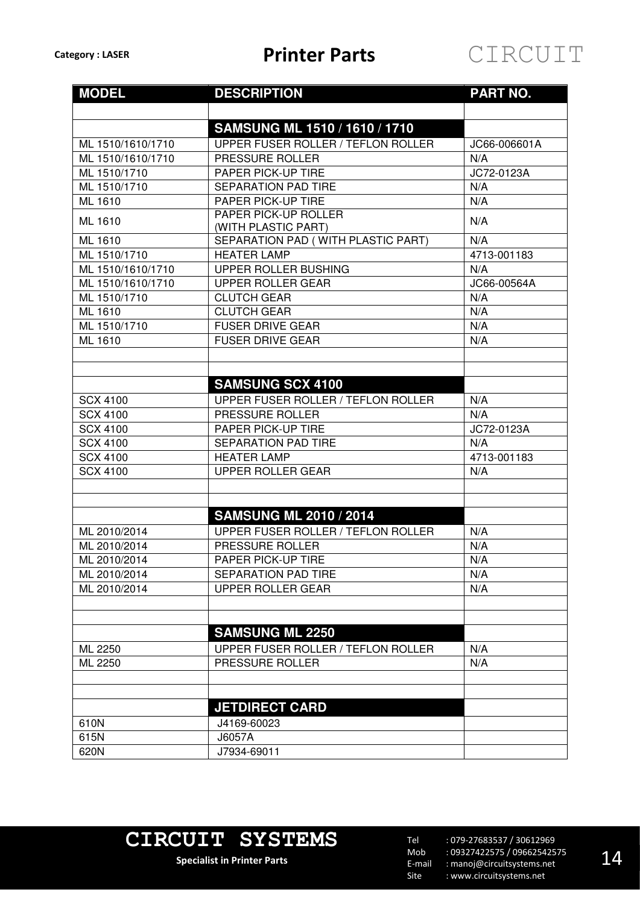| <b>MODEL</b>      | <b>DESCRIPTION</b>                                 | <b>PART NO.</b> |  |  |  |
|-------------------|----------------------------------------------------|-----------------|--|--|--|
|                   |                                                    |                 |  |  |  |
|                   | SAMSUNG ML 1510 / 1610 / 1710                      |                 |  |  |  |
| ML 1510/1610/1710 | UPPER FUSER ROLLER / TEFLON ROLLER                 | JC66-006601A    |  |  |  |
| ML 1510/1610/1710 | PRESSURE ROLLER                                    | N/A             |  |  |  |
| ML 1510/1710      | PAPER PICK-UP TIRE                                 | JC72-0123A      |  |  |  |
| ML 1510/1710      | <b>SEPARATION PAD TIRE</b>                         | N/A             |  |  |  |
| ML 1610           | PAPER PICK-UP TIRE                                 | N/A             |  |  |  |
| ML 1610           | <b>PAPER PICK-UP ROLLER</b><br>(WITH PLASTIC PART) | N/A             |  |  |  |
| ML 1610           | SEPARATION PAD (WITH PLASTIC PART)                 | N/A             |  |  |  |
| ML 1510/1710      | <b>HEATER LAMP</b>                                 | 4713-001183     |  |  |  |
| ML 1510/1610/1710 | UPPER ROLLER BUSHING                               | N/A             |  |  |  |
| ML 1510/1610/1710 | <b>UPPER ROLLER GEAR</b>                           | JC66-00564A     |  |  |  |
| ML 1510/1710      | <b>CLUTCH GEAR</b>                                 | N/A             |  |  |  |
| ML 1610           | <b>CLUTCH GEAR</b>                                 | N/A             |  |  |  |
| ML 1510/1710      | <b>FUSER DRIVE GEAR</b>                            | N/A             |  |  |  |
| ML 1610           | <b>FUSER DRIVE GEAR</b>                            | N/A             |  |  |  |
|                   |                                                    |                 |  |  |  |
|                   | <b>SAMSUNG SCX 4100</b>                            |                 |  |  |  |
| <b>SCX 4100</b>   | UPPER FUSER ROLLER / TEFLON ROLLER                 | N/A             |  |  |  |
| <b>SCX 4100</b>   | PRESSURE ROLLER                                    | N/A             |  |  |  |
| <b>SCX 4100</b>   | PAPER PICK-UP TIRE                                 | JC72-0123A      |  |  |  |
| <b>SCX 4100</b>   | <b>SEPARATION PAD TIRE</b>                         | N/A             |  |  |  |
| <b>SCX 4100</b>   | <b>HEATER LAMP</b>                                 | 4713-001183     |  |  |  |
| <b>SCX 4100</b>   | <b>UPPER ROLLER GEAR</b>                           | N/A             |  |  |  |
|                   |                                                    |                 |  |  |  |
|                   | <b>SAMSUNG ML 2010 / 2014</b>                      |                 |  |  |  |
| ML 2010/2014      | UPPER FUSER ROLLER / TEFLON ROLLER                 | N/A             |  |  |  |
| ML 2010/2014      | PRESSURE ROLLER                                    | N/A             |  |  |  |
| ML 2010/2014      | <b>PAPER PICK-UP TIRE</b>                          | N/A             |  |  |  |
| ML 2010/2014      | <b>SEPARATION PAD TIRE</b>                         | N/A             |  |  |  |
| ML 2010/2014      | <b>UPPER ROLLER GEAR</b>                           | N/A             |  |  |  |
|                   |                                                    |                 |  |  |  |
|                   |                                                    |                 |  |  |  |
|                   | <b>SAMSUNG ML 2250</b>                             |                 |  |  |  |
| ML 2250           | UPPER FUSER ROLLER / TEFLON ROLLER                 | N/A             |  |  |  |
| ML 2250           | PRESSURE ROLLER                                    | N/A             |  |  |  |
|                   |                                                    |                 |  |  |  |
|                   |                                                    |                 |  |  |  |
|                   | <b>JETDIRECT CARD</b>                              |                 |  |  |  |
| 610N              | J4169-60023                                        |                 |  |  |  |
| 615N              | J6057A                                             |                 |  |  |  |
| 620N              | J7934-69011                                        |                 |  |  |  |

# **CIRCUIT SYSTEMS**

**Specialist in Printer Parts**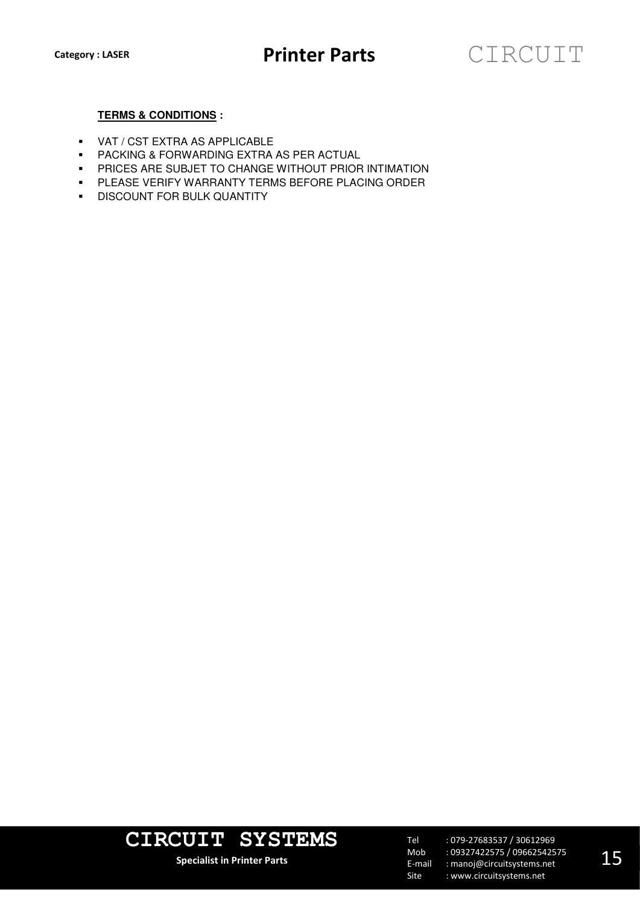### **TERMS & CONDITIONS :**

- VAT / CST EXTRA AS APPLICABLE
- PACKING & FORWARDING EXTRA AS PER ACTUAL
- **PRICES ARE SUBJET TO CHANGE WITHOUT PRIOR INTIMATION**
- **PLEASE VERIFY WARRANTY TERMS BEFORE PLACING ORDER**
- **DISCOUNT FOR BULK QUANTITY**



**Specialist in Printer Parts**

Tel Mob E-mail Site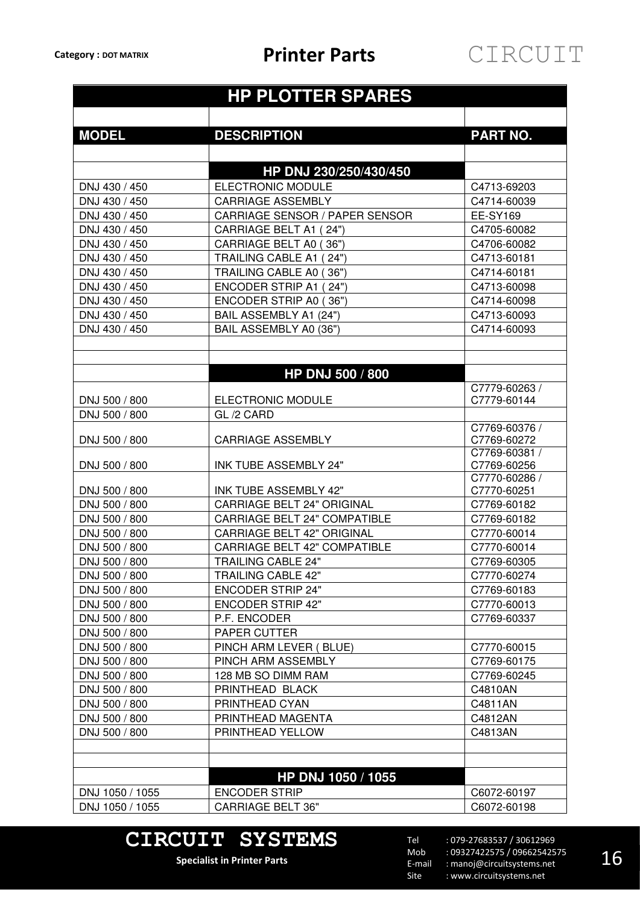### **HP PLOTTER SPARES MODEL DESCRIPTION PART NO. HP DNJ 230/250/430/450**  DNJ 430 / 450 ELECTRONIC MODULE C4713-69203 DNJ 430 / 450 CARRIAGE ASSEMBLY C4714-60039 DNJ 430 / 450 | CARRIAGE SENSOR / PAPER SENSOR | EE-SY169 DNJ 430 / 450 CARRIAGE BELT A1 ( 24") C4705-60082 DNJ 430 / 450 | CARRIAGE BELT A0 (36") | C4706-60082 DNJ 430 / 450 | TRAILING CABLE A1 ( 24") | C4713-60181 DNJ 430 / 450 **TRAILING CABLE A0 (36")** C4714-60181 DNJ 430 / 450 | ENCODER STRIP A1 (24") | C4713-60098 DNJ 430 / 450 ENCODER STRIP A0 ( 36") C4714-60098 DNJ 430 / 450 BAIL ASSEMBLY A1 (24") C4713-60093 DNJ 430 / 450 BAIL ASSEMBLY A0 (36") C4714-60093 **HP DNJ 500 / 800**  DNJ 500 / 800 ELECTRONIC MODULE C7779-60263 / C7779-60144 DNJ 500 / 800 GL /2 CARD DNJ 500 / 800 CARRIAGE ASSEMBLY C7769-60376 / C7769-60272 DNJ 500 / 800 | INK TUBE ASSEMBLY 24" C7769-60381 / C7769-60256 DNJ 500 / 800 | INK TUBE ASSEMBLY 42" C7770-60286 / C7770-60251 DNJ 500 / 800 CARRIAGE BELT 24" ORIGINAL C7769-60182 DNJ 500 / 800 CARRIAGE BELT 24" COMPATIBLE C7769-60182 DNJ 500 / 800 CARRIAGE BELT 42" ORIGINAL C7770-60014 DNJ 500 / 800 CARRIAGE BELT 42" COMPATIBLE C7770-60014 DNJ 500 / 800 TRAILING CABLE 24" C7769-60305 DNJ 500 / 800 TRAILING CABLE 42" C7770-60274 DNJ 500 / 800 ENCODER STRIP 24" C7769-60183 DNJ 500 / 800 ENCODER STRIP 42" C7770-60013 DNJ 500 / 800 P.F. ENCODER C7769-60337 DNJ 500 / 800 PAPER CUTTER DNJ 500 / 800 PINCH ARM LEVER ( BLUE) C7770-60015 DNJ 500 / 800 PINCH ARM ASSEMBLY C7769-60175 DNJ 500 / 800 128 MB SO DIMM RAM C7769-60245 DNJ 500 / 800 PRINTHEAD BLACK CHARGE CHARGE CHARGE DNJ 500 / 800 PRINTHEAD CYAN C4811AN DNJ 500 / 800 PRINTHEAD MAGENTA PROPERTY RELATIONS AND RELATIONS ON A LOCAL PRINTHEAD MAGENTA DNJ 500 / 800 PRINTHEAD YELLOW PRINTHEAD TO RESERVE THE C4813AN **HP DNJ 1050 / 1055**  DNJ 1050 / 1055 | ENCODER STRIP | C6072-60197 DNJ 1050 / 1055 CARRIAGE BELT 36" C6072-60198

### **CIRCUIT SYSTEMS**

**Specialist in Printer Parts**

Tel Mob E-mail Site : 079-27683537 / 30612969 : 09327422575 / 09662542575 : manoj@circuitsystems.net : www.circuitsystems.net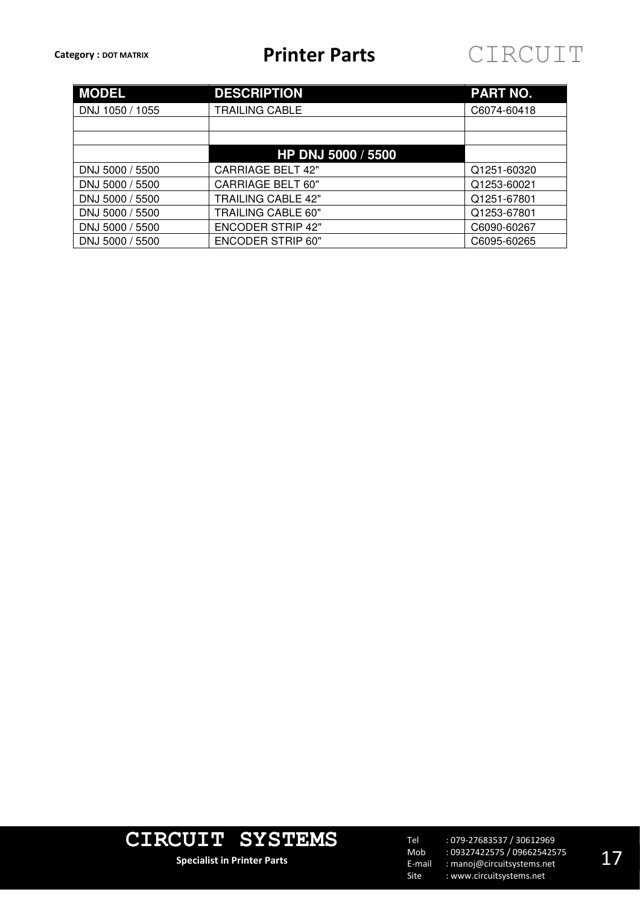

| <b>MODEL</b>    | <b>DESCRIPTION</b>        | <b>PART NO.</b> |  |  |  |
|-----------------|---------------------------|-----------------|--|--|--|
| DNJ 1050 / 1055 | TRAILING CABLE            | C6074-60418     |  |  |  |
|                 |                           |                 |  |  |  |
|                 |                           |                 |  |  |  |
|                 | HP DNJ 5000 / 5500        |                 |  |  |  |
| DNJ 5000 / 5500 | <b>CARRIAGE BELT 42"</b>  | Q1251-60320     |  |  |  |
| DNJ 5000 / 5500 | <b>CARRIAGE BELT 60"</b>  | Q1253-60021     |  |  |  |
| DNJ 5000 / 5500 | <b>TRAILING CABLE 42"</b> | Q1251-67801     |  |  |  |
| DNJ 5000 / 5500 | <b>TRAILING CABLE 60"</b> | Q1253-67801     |  |  |  |
| DNJ 5000 / 5500 | <b>ENCODER STRIP 42"</b>  | C6090-60267     |  |  |  |
| DNJ 5000 / 5500 | <b>ENCODER STRIP 60"</b>  | C6095-60265     |  |  |  |



**Specialist in Printer Parts**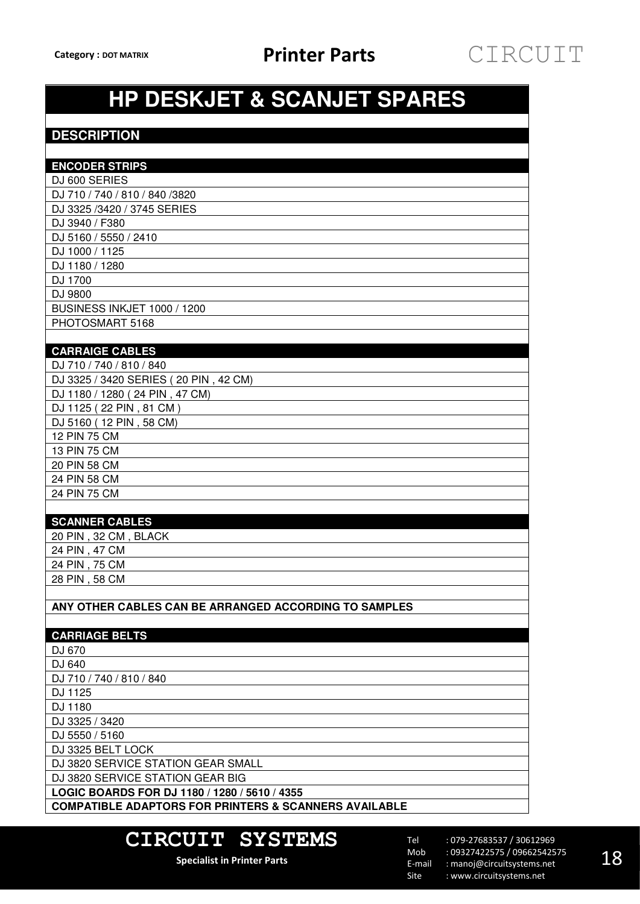# **HP DESKJET & SCANJET SPARES**

### **DESCRIPTION**

| <b>ENCODER STRIPS</b>                                            |
|------------------------------------------------------------------|
| DJ 600 SERIES                                                    |
| DJ 710 / 740 / 810 / 840 / 3820                                  |
| DJ 3325 /3420 / 3745 SERIES                                      |
| DJ 3940 / F380                                                   |
| DJ 5160 / 5550 / 2410                                            |
| DJ 1000 / 1125                                                   |
| DJ 1180 / 1280                                                   |
| DJ 1700                                                          |
| DJ 9800                                                          |
| <b>BUSINESS INKJET 1000 / 1200</b>                               |
| PHOTOSMART 5168                                                  |
|                                                                  |
| <b>CARRAIGE CABLES</b>                                           |
| DJ 710 / 740 / 810 / 840                                         |
| DJ 3325 / 3420 SERIES (20 PIN, 42 CM)                            |
| DJ 1180 / 1280 (24 PIN, 47 CM)                                   |
| DJ 1125 (22 PIN, 81 CM)                                          |
| DJ 5160 (12 PIN, 58 CM)                                          |
| 12 PIN 75 CM                                                     |
| 13 PIN 75 CM                                                     |
| 20 PIN 58 CM                                                     |
| 24 PIN 58 CM                                                     |
| 24 PIN 75 CM                                                     |
|                                                                  |
| <b>SCANNER CABLES</b>                                            |
| 20 PIN, 32 CM, BLACK                                             |
| 24 PIN, 47 CM                                                    |
| 24 PIN, 75 CM                                                    |
| 28 PIN, 58 CM                                                    |
|                                                                  |
| ANY OTHER CABLES CAN BE ARRANGED ACCORDING TO SAMPLES            |
| <b>CARRIAGE BELTS</b>                                            |
| DJ 670                                                           |
| DJ 640                                                           |
| DJ 710 / 740 / 810 / 840                                         |
| DJ 1125                                                          |
| DJ 1180                                                          |
| DJ 3325 / 3420                                                   |
| DJ 5550 / 5160                                                   |
| DJ 3325 BELT LOCK                                                |
| DJ 3820 SERVICE STATION GEAR SMALL                               |
| DJ 3820 SERVICE STATION GEAR BIG                                 |
| LOGIC BOARDS FOR DJ 1180 / 1280 / 5610 / 4355                    |
| <b>COMPATIBLE ADAPTORS FOR PRINTERS &amp; SCANNERS AVAILABLE</b> |
|                                                                  |

### **CIRCUIT SYSTEMS**

**Specialist in Printer Parts**